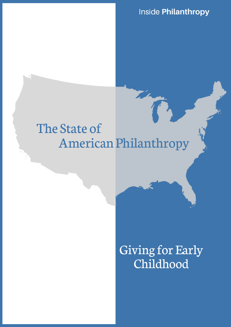Inside **Philanthropy**

# American Philanthropy The State of

# Giving for Early Childhood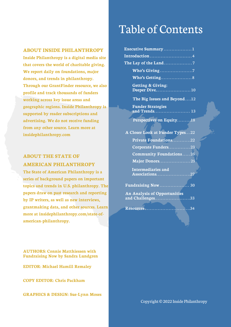#### **ABOUT INSIDE PHILANTHROPY**

**Inside Philanthropy is a digital media site that covers the world of charitable giving. We report daily on foundations, major donors, and trends in philanthropy. Through our GrantFinder resource, we also profile and track thousands of funders working across key issue areas and geographic regions. Inside Philanthropy is supported by reader subscriptions and advertising. We do not receive funding from any other source. Learn more at [insidephilanthropy.com](https://www.insidephilanthropy.com/)**

### **ABOUT THE STATE OF AMERICAN PHILANTHROPY**

**The State of American Philanthropy is a series of background papers on important topics and trends in U.S. philanthropy. The papers draw on past research and reporting by IP writers, as well as new interviews, grantmaking data, and other sources. Learn [more at insidephilanthropy.com/state-of](https://www.insidephilanthropy.com/state-of-american-philanthropy.)american-philanthropy.**

Table of Contents

| Executive Summary1                            |  |
|-----------------------------------------------|--|
| Introduction 4                                |  |
| The Lay of the Land7                          |  |
|                                               |  |
|                                               |  |
| <b>Getting &amp; Giving:</b><br>Deeper Dive10 |  |
| The Big Issues and Beyond12                   |  |
| <b>Funder Strategies</b><br>and Trends 13     |  |
| Perspectives on Equity18                      |  |
|                                               |  |
| A Closer Look at Funder Types22               |  |
| <b>Private Foundations22</b>                  |  |

| Private Foundations22                                   |  |
|---------------------------------------------------------|--|
| Corporate Funders23                                     |  |
| <b>Community Foundations25</b>                          |  |
| Major Donors25                                          |  |
| <b>Intermediaries and</b><br>Associations27             |  |
| <b>Fundraising Now  30</b>                              |  |
| <b>An Analysis of Opportunities</b><br>and Challenges33 |  |

**Resources** . . . . . . . . . . . . . . . . . . . . . . . . . . . . .34

**AUTHORS: Connie Matthiessen with Fundraising Now by Sandra Lundgren EDITOR: Michael Hamill Remaley**

**COPY EDITOR: Chris Packham**

**GRAPHICS & DESIGN: Sue-Lynn Moses**

Copyright © 2022 Inside Philanthropy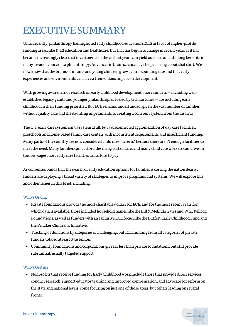# EXECUTIVE SUMMARY

Until recently, philanthropy has neglected early childhood education (ECE) in favor of higher-profile funding areas, like K-12 education and healthcare. But that has begun to change in recent years as it has become increasingly clear that investments in the earliest years can yield outsized and life-long benefits in many areas of concern to philanthropy. Advances in brain science have helped bring about that shift. We now know that the brains of infants and young children grow at an astounding rate and that early experiences and environments can have a tremendous impact on development.

With growing awareness of research on early childhood development, more funders — including wellestablished legacy giants and younger philanthropies fueled by tech fortunes — are including early childhood in their funding priorities. But ECE remains underfunded, given the vast number of families without quality care and the daunting impediments to creating a coherent system from the disarray.

The U.S. early care system isn't a system at all, but a disconnected agglomeration of day care facilities, preschools and home-based family care centers with inconsistent requirements and insufficient funding. Many parts of the country are now considered child care "deserts" because there aren't enough facilities to meet the need. Many families can't afford the rising cost of care, and many child care workers can't live on the low wages most early care facilities can afford to pay.

As consensus builds that the dearth of early education options for families is costing the nation dearly, funders are deploying a broad variety of strategies to improve programs and systems. We will explore this and other issues in this brief, including:

#### Who's Giving

- Private foundations provide the most charitable dollars for ECE, and for the most recent years for which data is available, those included household names like the Bill & Melinda Gates and W.K. Kellogg Foundations, as well as funders with an exclusive ECE focus, like the Buffett Early Childhood Fund and the Pritzker Children's Initiative.
- Tracking of donations by categories is challenging, but ECE funding from all categories of private funders totaled at least \$4.6 billion.
- Community foundations and corporations give far less than private foundations, but still provide substantial, usually targeted support.

#### Who's Getting

Nonprofits that receive funding for Early Childhood work include those that provide direct services, conduct research, support educator training and improved compensation, and advocate for reform on the state and national levels; some focusing on just one of those areas, but others leading on several fronts.

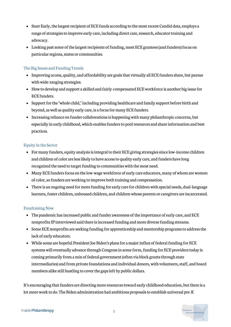- Start Early, the largest recipient of ECE funds according to the most recent Candid data, employs a range of strategies to improve early care, including direct care, research, educator training and advocacy.
- Looking past some of the largest recipients of funding, most ECE grantees (and funders) focus on particular regions, states or communities.

#### The Big Issues and Funding Trends

- Improving access, quality, and affordability are goals that virtually all ECE funders share, but pursue with wide-ranging strategies.
- How to develop and support a skilled and fairly-compensated ECE workforce is another big issue for ECE funders.
- Support for the "whole child," including providing healthcare and family support before birth and beyond, as well as quality early care, is a focus for many ECE funders.
- Increasing reliance on funder collaborations is happening with many philanthropic concerns, but especially in early childhood, which enables funders to pool resources and share information and best practices.

#### Equity in the Sector

- For many funders, equity analysis is integral to their ECE giving strategies since low-income children and children of color are less likely to have access to quality early care, and funders have long recognized the need to target funding to communities with the most need.
- Many ECE funders focus on the low-wage workforce of early care educators, many of whom are women of color, so funders are working to improve both training and compensation.
- There is an ongoing need for more funding for early care for children with special needs, dual-language learners, foster children, unhoused children, and children whose parents or caregivers are incarcerated.

#### Fundraising Now

- The pandemic has increased public and funder awareness of the importance of early care, and ECE nonprofits IP interviewed said there is increased funding and more diverse funding streams.
- Some ECE nonprofits are seeking funding for apprenticeship and mentorship programs to address the lack of early educators.
- While some are hopeful President Joe Biden's plans for a major influx of federal funding for ECE systems will eventually advance through Congress in some form, funding for ECE providers today is coming primarily from a mix of federal government (often via block grants through state intermediaries) and from private foundations and individual donors, with volunteers, staff, and board members alike still hustling to cover the gaps left by public dollars.

It's encouraging that funders are directing more resources toward early childhood education, but there is a lot more work to do. The Biden administration had ambitious proposals to establish universal pre-K

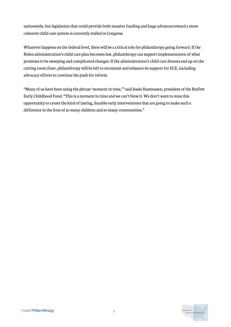nationwide, but legislation that could provide both massive funding and huge advances toward a more coherent child care system is currently stalled in Congress.

Whatever happens on the federal level, there will be a critical role for philanthropy going forward. If the Biden administration's child care plan becomes law, philanthropy can support implementation of what promises to be sweeping and complicated changes. If the administration's child care dreams end up on the cutting room floor, philanthropy will be left to recommit and enhance its support for ECE, including advocacy efforts to continue the push for reform.

"Many of us have been using the phrase 'moment in time,'" said Jessie Rasmussen, president of the Buffett Early Childhood Fund. "This is a moment in time and we can't blow it. We don't want to miss this opportunity to create the kind of lasting, durable early interventions that are going to make such a difference in the lives of so many children and so many communities."

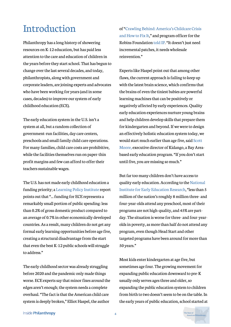# Introduction

Philanthropy has a long history of showering resources on K-12 education, but has paid less attention to the care and education of children in the years before they start school. That has begun to change over the last several decades, and today, philanthropists, along with government and corporate leaders, are joining experts and advocates who have been working for years (and in some cases, decades) to improve our system of early childhood education (ECE).

The early education system in the U.S. isn't a system at all, but a random collection of government-run facilities, day care centers, preschools and small family child care operations. For many families, child care costs are prohibitive, while the facilities themselves run on paper-thin profit margins and few can afford to offer their teachers sustainable wages.

The U.S. has not made early childhood education a funding priority; a [Learning Policy Institute](https://learningpolicyinstitute.org/product/early-childhood-education-system-2021-brief) report points out that "... funding for ECE represents a remarkably small portion of public spending: less than 0.2% of gross domestic product compared to an average of 0.7% in other economically developed countries. As a result, many children do not get any formal early learning opportunities before age five, creating a structural disadvantage from the start that even the best K-12 public schools will struggle to address."

The early childhood sector was already struggling before 2020 and the pandemic only made things worse. ECE experts say that minor fixes around the edges aren't enough; the system needs a complete overhaul. "The fact is that the American child care system is deeply broken," Elliot Haspel, the author

[of "Crawling Behind: America's Childcare Crisis](https://elliothaspel.com/) and How to Fix It," and program officer for the Robins Foundation [told IP](https://www.insidephilanthropy.com/home/2021/8/27/as-the-child-care-sector-struggles-new-funding-flows-for-state-level-advocacy). "It doesn't just need incremental patches, it needs wholesale reinvention."

Experts like Haspel point out that among other flaws, the current approach is failing to keep up with the latest brain science, which confirms that the brains of even the tiniest babies are powerful learning machines that can be positively or negatively affected by early experiences. Quality early education experiences nurture young brains and help children develop skills that prepare them for kindergarten and beyond. If we were to design an effectively holistic education system today, we would start much earlier than age five, said Scott [Moore, executive director of Kidango, a Bay Area](https://www.insidephilanthropy.com/home/2021/5/27/an-education-funder-tackles-the-achievement-gapone-preschooler-at-a-time)based early education program. "If you don't start until five, you are missing so much."

But far too many children don't have access to [quality early education. According to the National](https://nieer.org/policy-issue/universal-pre-k-5-faqs) Institute for Early Education Research, "less than 5 million of the nation's roughly 8 million three- and four-year-olds attend any preschool, most of their programs are not high-quality, and 45% are partday. The situation is worse for three- and four-yearolds in poverty, as more than half do not attend any program, even though Head Start and other targeted programs have been around for more than 50 years."

Most kids enter kindergarten at age five, but sometimes age four. The growing movement for expanding public education downward to pre-K usually only serves ages three and older, so expanding the public education system to children from birth to two doesn't seem to be on the table. In the early years of public education, school started at

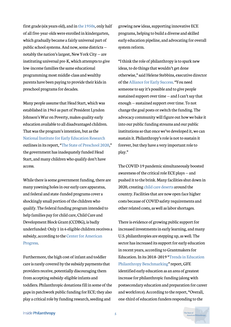first grade (six years old), and in [the 1950s,](https://daily.jstor.org/kindergarten-become-just-another-grade/) only half of all five-year-olds were enrolled in kindergarten, which gradually became a fairly universal part of public school systems. And now, some districts notably the nation's largest, New York City — are instituting universal pre-K, which attempts to give low-income families the same educational programming most middle-class and wealthy parents have been paying to provide their kids in preschool programs for decades.

Many people assume that Head Start, which was established in 1965 as part of President Lyndon Johnson's War on Poverty, makes quality early education available to all disadvantaged children. That was the program's intention, but as the [National Institute for Early Education Research](https://nieer.org/research-and-resources) outlines in its report, "[The State of Preschool 2020,](https://nieer.org/wp-content/uploads/2021/08/YB2020_Full_Report_080521.pdf)" the government has inadequately funded Head Start, and many children who qualify don't have access.

While there is some government funding, there are many yawning holes in our early care apparatus, and federal and state-funded programs cover a shockingly small portion of the children who qualify. The federal funding program intended to help families pay for child care, Child Care and Development Block Grant (CCDBG), is badly underfunded: Only 1 in 6 eligible children receives a [subsidy, according to the](https://www.americanprogress.org/issues/early-childhood/reports/2018/11/15/460970/understanding-true-cost-child-care-infants-toddlers/) Center for American Progress.

Furthermore, the high cost of infant and toddler care is rarely covered by the subsidy payments that providers receive, potentially discouraging them from accepting subsidy-eligible infants and toddlers. Philanthropic donations fill in some of the gaps in patchwork public funding for ECE; they also play a critical role by funding research, seeding and

growing new ideas, supporting innovative ECE programs, helping to build a diverse and skilled early education pipeline, and advocating for overall system reform.

"I think the role of philanthropy is to spark new ideas, to do things that wouldn't get done otherwise," said Helene Stebbins, executive director of the [Alliance for Early Success.](https://earlysuccess.org/) "You need someone to say it's possible and to give people sustained support over time — and I can't say that enough — sustained support over time. To not change the goal posts or switch the funding. The advocacy community will figure out how we bake it into our public funding streams and our public institutions so that once we've developed it, we can sustain it. Philanthropy's role is not to sustain it forever, but they have a very important role to play."

The COVID-19 pandemic simultaneously boosted awareness of the critical role ECE plays — and pushed it to the brink. Many facilities shut down in 2020, creating [child care deserts](https://coloradosun.com/2021/08/16/routt-colorado-childcare-crisis/) around the country. Facilities that are now open face higher costs because of COVID safety requirements and other related costs, as well as labor shortages.

There is evidence of growing public support for increased investments in early learning, and many U.S. philanthropies are stepping up, as well. The sector has increased its support for early education in recent years, according to Grantmakers for [Education. In its 2018–2019 "Trends in Education](https://edfunders.org/sites/default/files/GFE_Benchmarking_2018-19.pdf) Philanthropy Benchmarking" report, GFE identified early education as an area of greatest increase for philanthropic funding (along with postsecondary education and preparation for career and workforce). According to the report, "Overall, one-third of education funders responding to the

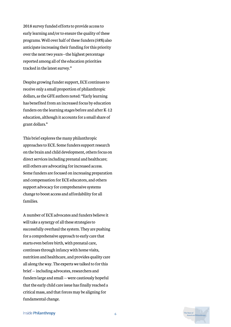2018 survey funded efforts to provide access to early learning and/or to ensure the quality of these programs. Well over half of these funders (58%) also anticipate increasing their funding for this priority over the next two years—the highest percentage reported among all of the education priorities tracked in the latest survey."

Despite growing funder support, ECE continues to receive only a small proportion of philanthropic dollars, as the GFE authors noted: "Early learning has benefited from an increased focus by education funders on the learning stages before and after K-12 education, although it accounts for a small share of grant dollars."

This brief explores the many philanthropic approaches to ECE. Some funders support research on the brain and child development, others focus on direct services including prenatal and healthcare; still others are advocating for increased access. Some funders are focused on increasing preparation and compensation for ECE educators, and others support advocacy for comprehensive systems change to boost access and affordability for all families.

A number of ECE advocates and funders believe it will take a synergy of all these strategies to successfully overhaul the system. They are pushing for a comprehensive approach to early care that starts even before birth, with prenatal care, continues through infancy with home visits, nutrition and healthcare, and provides quality care all along the way. The experts we talked to for this brief — including advocates, researchers and funders large and small — were cautiously hopeful that the early child care issue has finally reached a critical mass, and that forces may be aligning for fundamental change.

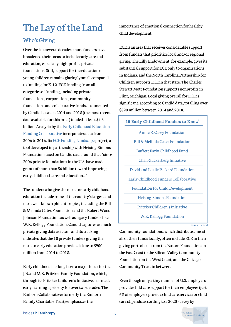# The Lay of the Land

### Who's Giving

Over the last several decades, more funders have broadened their focus to include early care and education, especially high-profile private foundations. Still, support for the education of young children remains glaringly small compared to funding for K-12. ECE funding from all categories of funding, including private foundations, corporations, community foundations and collaborative funds documented by Candid between 2014 and 2018 (the most recent data available for this brief) totaled at least \$4.6 [billion. Analysis by the Early Childhood Education](https://ecfunders.org/funding-landscape/) Funding Collaborative incorporates data from 2006 to 2016. Its [ECE Funding Landscape](https://ecfunders.org/funding-landscape/) project, a tool developed in partnership with Heising-Simons Foundation based on Candid data, found that "since 2006 private foundations in the U.S. have made grants of more than \$6 billion toward improving early childhood care and education..."

The funders who give the most for early childhood education include some of the country's largest and most well-known philanthropies, including the Bill & Melinda Gates Foundation and the Robert Wood Johnson Foundation, as well as legacy funders like W.K. Kellogg Foundation. Candid captures as much private giving data as it can, and its tracking indicates that the 10 private funders giving the most to early education provided close to \$900 million from 2014 to 2018.

Early childhood has long been a major focus for the J.B. and M.K. Pritzker Family Foundation, which, through its Pritzker Children's Initiative, has made early learning a priority for over two decades. The Einhorn Collaborative (formerly the Einhorn Family Charitable Trust) emphasizes the

importance of emotional connection for healthy child development.

ECE is an area that receives considerable support from funders that prioritize local and/or regional giving. The Lilly Endowment, for example, gives its substantial support for ECE only to organizations in Indiana, and the North Carolina Partnership for Children supports ECE in that state. The Charles Stewart Mott Foundation supports nonprofits in Flint, Michigan. Local giving overall for ECE is significant, according to Candid data, totalling over \$820 million between 2014 and 2018.

#### **10 Early Childhood Funders to Know** 1

Annie E. Casey Foundation Bill & Melinda Gates Foundation Buffett Early Childhood Fund Chan-Zuckerberg Initiative David and Lucile Packard Foundation Early Childhood Funders Collaborative Foundation for Child Development Heising-Simons Foundation Pritzker Children's Initiative

W.K. Kellogg Foundation

Source: Candid

Community foundations, which distribute almost all of their funds locally, often include ECE in their giving portfolios—from the Boston Foundation on the East Coast to the Silicon Valley Community Foundation on the West Coast, and the Chicago Community Trust in between.

Even though only a tiny number of U.S. employers provide child care support for their employees (just 6% of employers provide child care services or child care stipends, according to a 2020 survey by

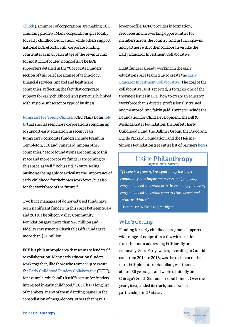[Clutch](https://clutch.co/hr/resources/how-to-offer-childcare-benefits) ), a number of corporations are making ECE a funding priority. Many corporations give locally for early childhood education, while others support national ECE efforts. Still, corporate funding constitutes a small percentage of the revenue mix for most ECE-focused nonprofits. The ECE supporters detailed in the "Corporate Funders" section of this brief are a range of technology, financial services, apparel and healthcare companies, reflecting the fact that corporate support for early childhood isn't particularly linked with any one subsector or type of business.

#### [Jumpstart for Young Children](https://www.jstart.org/) [CEO Naila Bolus told](https://www.insidephilanthropy.com/home/2021/9/1/funders-seek-to-jumpstart-early-ed-with-a-focus-on-educators)

IP that she has seen more corporations stepping up to support early education in recent years. Jumpstart's corporate funders include Franklin Templeton, TJX and Vanguard, among other companies. "More foundations are coming to this space and more corporate funders are coming to this space, as well," Bolus said. "You're seeing businesses being able to articulate the importance of early childhood for their own workforce, but also for the workforce of the future."

Two huge managers of donor-advised funds have been significant funders in this space between 2014 and 2018. The Silicon Valley Community Foundation gave more than \$56 million and Fidelity Investments Charitable Gift Funds gave more than \$31 million.

ECE is a philanthropic area that seems to lend itself to collaboration. Many early education funders work together, like those who teamed up to create the [Early Childhood Funders Collaborative](https://ecfunders.org/) (ECFC), for example, which calls itself "a venue for funders interested in early childhood." ECFC has a [long list](https://ecfunders.org/our-members/) [of members,](https://ecfunders.org/our-members/) many of them dazzling names in the constellation of mega-donors; others that have a

lower profile. ECFC provides information, resources and networking opportunities for members across the country, and in turn, spawns and partners with other collaboratives like the Early Educator Investment Collaborative.

Eight funders already working in the early education space teamed up to create the Early [Educator Investment Collaborative. The goal o](https://earlyedcollaborative.org/)f the collaborative, as IP reported, is to tackle one of the thorniest issues in ECE: how to create an educator workforce that is diverse, professionally trained and mentored, and fairly paid. Partners include the Foundation for Child Development, the Bill & Melinda Gates Foundation, the Buffett Early Childhood Fund, the Ballmer Group, the David and Lucile Packard Foundation, and the Heising-Simons Foundation (see entire list of partners [here](https://earlyedcollaborative.org/who-we-are/)).

# Inside **Philanthropy**

*"[There is a growing] recognition by the larger community how important access to high-quality early childhood education is to the economy [and how] early childhood education supports the current and future workforce."*

—Fundraiser,Walled Lake, Michigan

#### Who's Getting

Funding for early childhood programs supports a wide range of nonprofits, a few with a national focus, but most addressing ECE locally or regionally. Start Early, which, according to Candid data from 2014 to 2018, was the recipient of the most ECE philanthropic dollars, was founded almost 30 years ago, and worked initially on Chicago's South Side and in rural Illinois. Over the years, it expanded its reach, and now has partnerships in 25 states.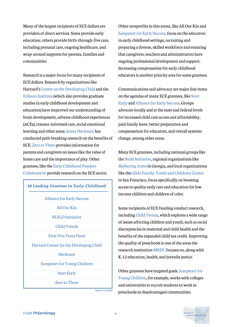Many of the largest recipients of ECE dollars are providers of direct services. Some provide early education; others provide birth-through-five care, including prenatal care, ongoing healthcare, and wrap-around supports for parents, families and communities.

Research is a major focus for many recipients of ECE dollars. Research by organizations like Harvard's [Center on the Developing Child](https://developingchild.harvard.edu/) and the [Erikson Institute](https://www.erikson.edu/) (which also provides graduate studies in early childhood development and education) have improved our understanding of brain development, adverse childhood experiences (ACEs), trauma-informed care, social emotional learning and other areas. [James Heckman](https://heckmanequation.org/) has conducted path-breaking research on the benefits of ECE. [Zero to Three](https://www.zerotothree.org/) provides information for parents and caregivers on issues like the value of home care and the importance of play. Other [grantees, like the Early Childhood Funders](https://ecfunders.org/) Collaborative provide research on the ECE sector.

| 10 Leading Grantees in Early Childhood <sup>1</sup> |
|-----------------------------------------------------|
| <b>Alliance for Early Success</b>                   |
| All Our Kin                                         |
| <b>BUILD</b> Initiative                             |
| <b>Child Trends</b>                                 |
| First Five Years Fund                               |
| Harvard Center for the Developing Child             |
| Heckman                                             |
| <b>Jumpstart for Young Children</b>                 |
| <b>Start Early</b>                                  |
| <b>Zero to Three</b>                                |

Other nonprofits in this arena, like [All Our Kin](https://allourkin.org/) and [Jumpstart for Early Success,](https://www.jstart.org/) focus on the educators in early childhood settings, recruiting and preparing a diverse, skilled workforce and ensuring that caregivers, teachers and administrators have ongoing professional development and support. Increasing compensation for early childhood educators is another priority area for some grantees.

Communications and advocacy are major line items [on the agendas of many ECE grantees, like Start](https://www.startearly.org/what-we-do/policy-advocacy/) Early and [Alliance for Early Success.](https://earlysuccess.org/) Groups advocate locally and at the state and federal levels for increased child care access and affordability, paid family leave, better preparation and compensation for educators, and overall systems change, among other areas.

Many ECE grantees, including national groups like the [Build Initiative](https://buildinitiative.org/), regional organizations like [Sheltering Arms](https://shelteringarmsforkids.com/) in Georgia, and local organizations like the [Glide Family, Youth and Childcare Center](https://www.glide.org/program/family-youth-and-childcare-center/) in San Francisco, focus specifically on boosting access to quality early care and education for lowincome children and children of color.

Some recipients of ECE funding conduct research, including [Child Trends](https://www.childtrends.org/), which explores a wide range of issues affecting children and youth, such as racial discrepancies in maternal and child health and the benefits of the expanded child tax credit. Improving the quality of preschools is one of the areas the research institution [MRDC](https://www.mdrc.org/) focuses on, along with K-12 education, health, and juvenile justice.

[Other grantees have targeted goals. Jumpstart for](https://www.jstart.org/) Young Children, for example, works with colleges and universities to recruit students to work in preschools in disadvantaged communities.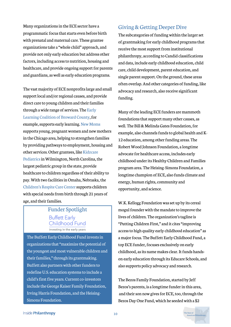Many organizations in the ECE sector have a programmatic focus that starts even before birth with prenatal and maternal care. These grantee organizations take a "whole child" approach, and provide not only early education but address other factors, including access to nutrition, housing and healthcare, and provide ongoing support for parents and guardians, as well as early education programs.

The vast majority of ECE nonprofits large and small support local and/or regional causes, and provide direct care to young children and their families [through a wide range of services. The Early](https://www.elcbroward.org/) Learning Coalition of Broward County, for example, supports early learning. [New Moms](https://newmoms.org/) supports young, pregnant women and new mothers in the Chicago area, helping to strengthen families by providing pathways to employment, housing and other services. Other grantees, like Kidzcare [Pediatrics in Wilmington, North Carolina, t](https://kidzcare.com/)he largest pediatric group in the state, provide healthcare to children regardless of their ability to pay. With two facilities in Omaha, Nebraska, the [Children's Respite Care Center](https://crccomaha.org/) supports children with special needs from birth through 21 years of age, and their families.

### Funder Spotlight **Buffett Early** Childhood Fund investing in the early years

The Buffett Early Childhood Fund invests in organizations that "maximize the potential of the youngest and most vulnerable children and their families," through its grantmaking. Buffett also partners with other funders to redefine U.S. education systems to include a child's first five years. Current co-investors include the George Kaiser Family Foundation, Irving Harris Foundation, and the Heising-Simons Foundation.

### Giving&GettingDeeperDive

The subcategories of funding within the larger set of grantmaking for early childhood programs that receive the most support from institutional philanthropy, according to Candid classifications and data, include early childhood education, child care, child development, parent education, and single parent support. On the ground, these areas often overlap. And other categories of funding, like advocacy and research, also receive significant funding.

Many of the leading ECE funders are mammoth foundations that support many other causes, as well. The Bill & Melinda Gates Foundation, for example, also channels funds to global health and K-12 education, among other funding areas. The Robert Wood Johnson Foundation, a longtime advocate for healthcare access, includes early childhood under its Healthy Children and Families program area. The Heising-Simons Foundation, a longtime champion of ECE, also funds climate and energy, human rights, community and opportunity, and science.

W.K. Kellogg Foundation was set up by its cereal mogul founder with the mandate to improve the lives of children. The organization's tagline is "Putting Children First," and it cites "improving access to high quality early childhood education" as a major focus. The Buffett Early Childhood Fund, a top ECE funder, focuses exclusively on early childhood, as its name makes clear. It funds handson early education through its Educare Schools, and also supports policy advocacy and research.

The Bezos Family Foundation, started by Jeff Bezos's parents, is a longtime funder in this area, and their son now gives for ECE, too, through the Bezos Day One Fund, which he seeded with a \$2

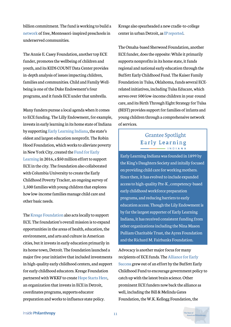billion commitment. The fund is working to build a [network](https://www.bezosacademy.org/) of free, Montessori-inspired preschools in underserved communities.

The Annie E. Casey Foundation, another top ECE funder, promotes the wellbeing of children and youth, and its KIDS COUNT Data Center provides in-depth analysis of issues impacting children, families and communities. Child and Family Wellbeing is one of the Duke Endowment's four programs, and it funds ECE under that umbrella.

Many funders pursue a local agenda when it comes to ECE funding. The Lilly Endowment, for example, invests in early learning in its home state of Indiana by supporting [Early Learning Indiana,](https://earlylearningin.org/) the state's oldest and largest education nonprofit. The Robin Hood Foundation, which works to alleviate poverty [in New York City, created the Fund for Early](https://www.robinhood.org/programs/special-initiatives/fuel/) Learning in 2016, a \$50 million effort to support ECE in the city. The foundation also collaborated with Columbia University to create the Early Childhood Poverty Tracker, an ongoing survey of 1,500 families with young children that explores how low-income families manage child care and other basic needs.

The [Kresge Foundation](https://www.insidephilanthropy.com/fundraising-in-chicago/kresge-foundation-grants-for-michigan) also acts locally to support ECE. The foundation's overall mission is to expand opportunities in the areas of health, education, the environment, and arts and culture in American cities, but it invests in early education primarily in its home town, Detroit. The foundation launched a major five-year initiative that included investments in high-quality early childhood centers, and support for early childhood educators. Kresge Foundation partnered with WKKF to create [Hope Starts Here,](https://hopestartsheredetroit.org/) an organization that invests in ECE in Detroit, coordinates programs, supports educator preparation and works to influence state policy.

Kresge also spearheaded a new cradle-to-college center in urban Detroit, a[s IP reported](https://www.insidephilanthropy.com/home/2021/10/8/a-historic-detroit-school-was-near-the-end-heres-how-kresge-rallied-to-give-it-new-life).

The Omaha-based Sherwood Foundation, another ECE funder, does the opposite: While it primarily supports nonprofits in its home state, it funds regional and national early education through the Buffett Early Childhood Fund. The Kaiser Family Foundation in Tulsa, Oklahoma, funds several ECErelated initiatives, including Tulsa Educare, which serves over 500 low-income children in year-round care, and its Birth Through Eight Strategy for Tulsa (BEST) provides support for families of infants and young children through a comprehensive network of services.

#### Grantee Spotlight Early Learning INDIANA

Early Learning Indiana was founded in 1899 by the King's Daughters Society and initally focused on providing child care for working mothers. Since then, it has evolved to include expanded access to high-quality Pre-K , competency-based early childhood workforce preparation programs, and reducing barriers to early education access. Though the Lily Endowment is by far the largest supporter of Early Learning Indiana, it has received consistent funding from other organizations including the Nina Mason Pulliam Charitable Trust, the Ayres Foundation and the Richard M. Fairbanks Foundation.

Advocacy is another major focus for many [recipients of ECE funds. The Alliance for Early](https://earlysuccess.org/) Success grew out of an effort by the Buffett Early Childhood Fund to encourage government policy to catch up with the latest brain science. Other prominent ECE funders now back the alliance as well, including the Bill & Melinda Gates Foundation, the W.K. Kellogg Foundation, the

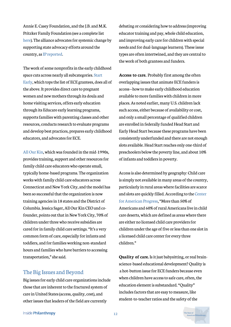Annie E. Casey Foundation, and the J.B. and M.K. Pritzker Family Foundation (see a complete list [here](https://earlysuccess.org/aboutus/national-early-childhood-funders/)). The alliance advocates for systemic change by supporting state advocacy efforts around the country, as [IP reported](https://www.insidephilanthropy.com/home/2021/8/27/as-the-child-care-sector-struggles-new-funding-flows-for-state-level-advocacy).

The work of some nonprofits in the early childhood space cuts across nearly all subcategories. Start [Early, which tops the list of ECE grantees, does](https://www.startearly.org/) all of the above. It provides direct care to pregnant women and new mothers through its doula and home visiting services, offers early education through its Educare early learning programs, supports families with parenting classes and other resources, conducts research to evaluate programs and develop best practices, prepares early childhood educators, and advocates for ECE.

[All Our Kin](https://allourkin.org/), which was founded in the mid-1990s, provides training, support and other resources for family child care educators who operate small, typically home-based programs. The organization works with family child care educators across Connecticut and New York City, and the model has been so successful that the organization is now training agencies in 18 states and the District of Columbia. Jessica Sager, All Our Kin CEO and cofounder, points out that in New York City, 70% of children under three who receive subsidies are cared for in family child care settings. "It's a very common form of care, especially for infants and toddlers, and for families working non-standard hours and families who have barriers to accessing transportation," she said.

#### The Big Issues and Beyond

Big issues for early child care organizations include those that are inherent to the fractured system of care in United States (access, quality, cost), and other issues that leaders of the field are currently

debating or considering how to address (improving educator training and pay, whole child education, and improving early care for children with special needs and for dual-language learners). These issue types are often intertwined, and they are central to the work of both grantees and funders.

**Access to care.** Probably first among the often overlapping issues that animate ECE funders is access—how to make early childhood education available to more families with children in more places. As noted earlier, many U.S. children lack such access, either because of availability or cost, and only a small percentage of qualified children are enrolled in federally funded Head Start and Early Head Start because these programs have been consistently underfunded and there are not enough slots available. Head Start reaches only one-third of preschoolers below the poverty line, and about 10% of infants and toddlers in poverty.

Access is also determined by geography: Child care is simply not available in many areas of the country, particularly in rural areas where facilities are scarce [and slots are quickly filled. According to the Center](https://act.americanprogress.org/page/27595/petition/1) for American Progress, "More than 50% of Americans and 60% of rural Americans live in child care deserts, which are defined as areas where there are either no licensed child care providers for children under the age of five or less than one slot in a licensed child care center for every three children."

**Quality of care.** Is it just babysitting, or real brainscience-based educational development? Quality is a hot-button issue for ECE funders because even when children have access to safe care, often, the education element is substandard. "Quality" includes factors that are easy to measure, like student-to-teacher ratios and the safety of the

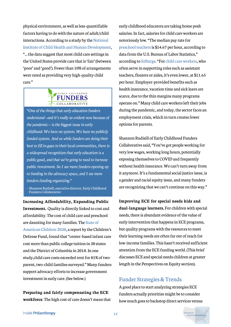physical environment, as well as less-quantifiable factors having to do with the nature of adult/child interactions. According to a study by the National [Institute of Child Health and Human Development](https://www.nichd.nih.gov/sites/default/files/publications/pubs/documents/seccyd_06.pdf), "... the data suggest that most child care settings in the United States provide care that is 'fair' (between 'poor' and 'good'). Fewer than 10% of arrangements were rated as providing very high-quality child care."



*"One of the things that early education funders understand—and it's really so evident now because of the pandemic— is the biggest issue in early childhood: We have no system. We have no publicly funded system. And so while funders are doing their best to fill in gaps in their local communities, there is a widespread recognition that early education is a public good, and that we're going to need to increase public investment. So I see more funders opening up to funding in the advocacy space, and I see more funders funding organizing."*

—Shannon Rudisill, executive director, Early Childhood Funders Collaborative

**Increasing Affordability, Expanding Public Investment.** Quality is directly linked to cost and affordability. The cost of child care and preschool are daunting for many families. The State of [American Children 2020, a report by the Chi](https://www.childrensdefense.org/wp-content/uploads/2020/02/The-State-Of-Americas-Children-2020.pdf)ldren's Defense Fund, found that "center-based infant care cost more than public college tuition in 30 states and the District of Columbia in 2018. In one study,child care costs exceeded rent for 81% of twoparent, two-child families surveyed." Many funders support advocacy efforts to increase government investment in early care. (See below.)

**Preparing and fairly compensating the ECE workforce**. The high cost of care doesn't mean that

early childhood educators are taking home posh salaries. In fact, salaries for child care workers are notoriously low. "The median pay rate for [preschool teachers](https://stats.bls.gov/oes/current/oes252011.htm) is \$14.67 per hour, according to data from the U.S. Bureau of Labor Statistics," according to [EdSurge](https://www.edsurge.com/news/2021-02-09-the-pandemic-has-compounded-the-turnover-problem-in-early-childhood-education). "For [child care workers,](https://stats.bls.gov/oes/current/oes399011.htm) who often serve in supporting roles such as assistant teachers, floaters or aides, it's even lower, at \$11.65 per hour. Employer-provided benefits such as health insurance, vacation time and sick leave are scarce, due to the thin margins many programs operate on." Many child care workers left their jobs during the pandemic, and today, the sector faces an employment crisis, which in turn creates fewer options for parents.

Shannon Rudisill of Early Childhood Funders Collaborative said, "You've got people working for very low wages, working long hours, potentially exposing themselves to COVID and frequently without health insurance. We can't turn away from it anymore. It's a fundamental social justice issue, is a gender and racial equity issue, and many funders are recognizing that we can't continue on this way."

**Improving ECE for special needs kids and dual-language learners.** For children with special needs, there is abundant evidence of the value of early intervention that happens in ECE programs, but quality programs with the resources to meet their learning needs are often far out of reach for low-income families. This hasn't received sufficient attention from the ECE funding world. (This brief discusses ECE and special needs children at greater length in the Perspectives on Equity section).

### Funder Strategies&Trends

A good place to start analyzing strategies ECE funders actually prioritize might be to consider how much goes to backstop direct services versus

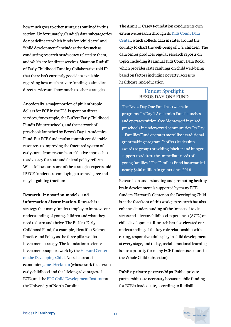how much goes to other strategies outlined in this section. Unfortunately, Candid's data subcategories do not delineate which funds for "child care" and "child development" include activities such as conducting research or advocacy related to them, and which are for direct services. Shannon Rudisill of Early Childhood Funding Collaborative told IP that there isn't currently good data available regarding how much private funding is aimed at direct services and how much to other strategies.

Anecdotally, a major portion of philanthropic dollars for ECE in the U.S. is spent on direct services, for example, the Buffett Early Childhood Fund's Educare schools, and the network of preschools launched by Bezos's Day 1 Academies Fund. But ECE funders also commit considerable resources to improving the fractured system of early care—from research on effective approaches to advocacy for state and federal policy reform. What follows are some of the strategies experts told IP ECE funders are employing to some degree and may be gaining traction:

**Research, innovation models, and information dissemination.** Research is a strategy that many funders employ to improve our understanding of young children and what they need to learn and thrive. The Buffett Early Childhood Fund, for example, identifies Science, Practice and Policy as the three pillars of its investment strategy. The foundation's science [investments support work by the Harvard Center](http://developingchild.harvard.edu/) on the Developing Child, Nobel laureate in economics [James Heckman](https://heckmanequation.org/) (whose work focuses on early childhood and the lifelong advantages of ECE), and the [FPG Child Development Institute](https://fpg.unc.edu/) at the University of North Carolina.

The Annie E. Casey Foundation conducts its own [extensive research through its Kids Count Data](https://datacenter.kidscount.org/) Center, which collects data in states around the country to chart the well-being of U.S. children. The data center produces regular research reports on topics including its annual Kids Count Data Book, which provides state rankings on child well-being based on factors including poverty, access to healthcare, and education.

# Funder Spotlight<br>BEZOS DAY ONE FUND

The Bezos Day One Fund has two main programs. Its Day 1 Academies Fund launches and operates tuition-free Montessori inspired preschools in underserved communities. Its Day 1 Families Fund operates more like a traditional grantmaking program. It offers leadership awards to groups providing "shelter and hunger support to address the immediate needs of young families." The Families Fund has awarded nearly \$400 million in grants since 2018.

Research on understanding and promoting healthy brain development is supported by many ECE funders. Harvard's Center on the Developing Child is at the forefront of this work; its research has also enhanced understanding of the impact of toxic stress and adverse childhood experiences (ACEs) on child development. Research has also elevated our understanding of the key role relationships with caring, responsive adults play in child development at every stage, and today, social-emotional learning is also a priority for many ECE funders (see more in the Whole Child subsection).

**Public-private partnerships**. Public-private partnerships are necessary because public funding for ECE is inadequate, according to Rudisill.

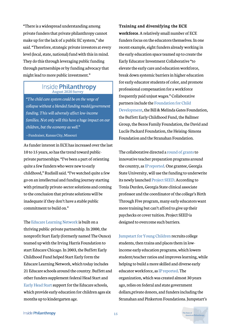"There is a widespread understanding among private funders that private philanthropy cannot make up for the lack of a public EC system," she said. "Therefore, strategic private investors at every level (local, state, national) fund with this in mind. They do this through leveraging public funding through partnerships or by funding advocacy that might lead to more public investment."

### $\overline{\text{Inside Philanthropy}} \\ \text{August 2020 Survey}$

*"The child care system could be on the verge of collapse without a blended funding model/government funding. This will adversely affect low-income families. Not only will this have a huge impact on our children, but the economy as well."* —Fundraiser, Kansas City, Missouri

As funder interest in ECE has increased over the last 10 to 15 years, so has the trend toward publicprivate partnerships. "I've been a part of orienting quite a few funders who were new to early childhood," Rudisill said. "I've watched quite a few go on an intellectual and funding journey starting with primarily private-sector solutions and coming to the conclusion that private solutions will be inadequate if they don't have a stable public commitment to build on."

The [Educare Learning Network](https://www.educareschools.org/our-approach/educare-learning-network/) is built on a thriving public-private partnership. In 2000, the nonprofit Start Early (formerly named The Ounce) teamed up with the Irving Harris Foundation to start Educare Chicago. In 2003, the Buffett Early Childhood Fund helped Start Early form the Educare Learning Network, which today includes 21 Educare schools around the country. Buffett and other funders supplement federal Head Start and [Early Head Start s](https://eclkc.ohs.acf.hhs.gov/programs/article/early-head-start-programs)upport for the Educare schools, which provide early education for children ages six months up to kindergarten age.

#### **Training and diversifying the ECE**

**workforce**. A relatively small number of ECE funders focus on the educators themselves. In one recent example, eight funders already working in the early education space teamed up to create the Early Educator Investment Collaborative "to elevate the early care and education workforce, break down systemic barriers in higher education for early educator students of color, and promote professional compensation for a workforce frequently paid unjust wages." Collaborative partners include the Foundation for Child [Development, the Bill & Melinda Gates Fou](https://www.fcd-us.org/)ndation, the Buffett Early Childhood Fund, the Ballmer Group, the Bezos Family Foundation, the David and Lucile Packard Foundation, the Heising-Simons Foundation and the Stranahan Foundation.

The collaborative directed a [round of grants](https://earlyedcollaborative.org/assets/2021/06/F_Innovation-Grant-Press-Release_060321v2.pdf) to innovative teacher preparation programs around the country, as IP [reported.](https://www.insidephilanthropy.com/home/2021/6/23/why-are-these-funders-teaming-up-to-support-early-educators) One grantee, Georgia State University, will use the funding to underwrite its newly launched [Project SEED.](https://education.gsu.edu/ecee/academicsecee/support-for-project-seed-scholars/) According to Tonia Durden, Georgia State clinical associate professor and the coordinator of the college's Birth Through Five program, many early educators want more training but can't afford to give up their paychecks or cover tuition. Project SEED is designed to overcome such barriers.

[Jumpstart for Young Children](https://www.jstart.org/) recruits college students, then trains and places them in lowincome early education programs, which lowers student/teacher ratios and improves learning, while helping to build a more skilled and diverse early educator workforce, as [IP reported.](https://www.insidephilanthropy.com/home/2021/9/1/funders-seek-to-jumpstart-early-ed-with-a-focus-on-educators) The organization, which was created almost 30 years ago, relies on federal and state government dollars,private donors, and funders including the Stranahan and Pinkerton Foundations. Jumpstart's

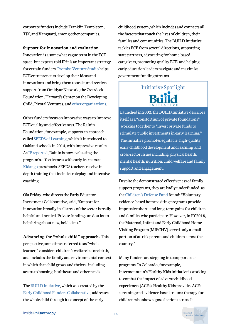corporate funders include Franklin Templeton, TJX, and Vanguard, among other companies.

**Support for innovation and evaluation**.

Innovation is a somewhat vague term in the ECE space, but experts told IP it is an important strategy for certain funders. [Promise Venture Studio](https://www.promisestudio.org/) helps ECE entrepreneurs develop their ideas and innovations and bring them to scale, and receives support from Omidyar Network, the Overdeck Foundation, Harvard's Center on the Developing Child, Pivotal Ventures, and [other organizations.](https://www.promisestudio.org/our-partners)

Other funders focus on innovative ways to improve ECE quality and effectiveness. The Rainin Foundation, for example, supports an approach called [SEEDS of Learning,](https://www.fluentseeds.org/) which it introduced to Oakland schools in 2014, with impressive results. As [IP reported,](https://www.insidephilanthropy.com/home/2021/5/27/an-education-funder-tackles-the-achievement-gapone-preschooler-at-a-time) Rainin is now evaluating the program's effectiveness with early learners at [Kidango](https://www.kidango.org/) preschools. SEEDS teachers receive indepth training that includes roleplay and intensive coaching.

Ola Friday, who directs the Early Educator Investment Collaborative, said, "Support for innovation broadly in all areas of the sector is really helpful and needed. Private funding can do a lot to help bring about new, bold ideas."

**Advancing the "whole child" approach.** This perspective, sometimes referred to as "whole learner," considers children's welfare before birth, and includes the family and environmental context in which that child grows and thrives, including access to housing, healthcare and other needs.

The [BUILD Initiative](https://buildinitiative.org/), which was created by the [Early Childhood Funders Collaborative](https://ecfunders.org/), addresses the whole child through its concept of the early

childhood system, which includes and connects all the factors that touch the lives of children, their families and communities. The BUILD Initiative tackles ECE from several directions, supporting state partners, advocating for home-based caregivers, promoting quality ECE, and helping early education leaders navigate and maximize government funding streams.

Initiative Spotlight

Launched in 2002, the BUILD Initiative describes itself as a "constortium of private foundatons" working together to "invest private funds to stimulate public investments in early learning." The initiative promotes equitable, high-quality early childhood development and learning and cross-sector issues including physical health, mental health, nutrition, child welfare and family support and engagement.

Despite the demonstrated effectiveness of family support programs, they are badly underfunded, as the [Children's Defense Fund](https://www.childrensdefense.org/wp-content/uploads/2020/02/The-State-Of-Americas-Children-2020.pdf) found: "Voluntary, evidence-based home visiting programs provide impressive short- and long-term gains for children and families who participate. However, in FY2018, the Maternal, Infant and Early Childhood Home Visiting Program (MIECHV) served only a small portion of at-risk parents and children across the country."

Many funders are stepping in to support such programs. In Colorado, for example, Intermountain's Healthy Kids initiative is working to combat the impact of adverse childhood experiences (ACEs). Healthy Kids provides ACEs screening and evidence-based trauma therapy for children who show signs of serious stress. It

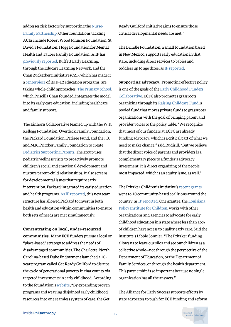addresses risk factors by supporting [the](https://www.nursefamilypartnership.org/) Nurse-[Family Partnership. Other foundations tackling](https://www.nursefamilypartnership.org/) ACEs include Robert Wood Johnson Foundation, St. David's Foundation, Hogg Foundation for Mental Health and Tauber Family Foundation, as IP has previously [reported](https://www.insidephilanthropy.com/home/2018/6/29/a-big-regional-health-funder-takes-on-childhood-trauma-and-resilience). Buffett Early Learning, through the Educare Learning Network, and the Chan Zuckerberg Initiative (CZI), which has made it a [centerpiece of its K-12 education programs,](https://www.insidephilanthropy.com/home/2018/10/31/what-kids-need-to-succeed-czi-looks-to-advance-a-whole-child-approach-to-education) are taking whole-child approaches. [The Primary School,](https://www.theprimaryschool.org/) which Priscilla Chan founded, integrates the model into its early care education, including healthcare and family support.

The Einhorn Collaborative teamed up with the W.K. Kellogg Foundation, Overdeck Family Foundation, the Packard Foundation, Perigee Fund, and the J.B. and M.K. Pritzker Family Foundation to create [Pediatrics Supporting Parents.](https://www.pediatricssupportingparents.org/) The group uses pediatric wellness visits to proactively promote children's social and emotional development and nurture parent-child relationships. It also screens for developmental issues that require early intervention. Packard integrated its early education and health programs. As [IP reported](https://www.insidephilanthropy.com/home/2019/4/21/critical-connections-a-foundation-breaks-down-silos-to-boost-its-impact-on-early-childhood), this new team structure has allowed Packard to invest in both health and education within communities to ensure both sets of needs are met simultaneously.

**Concentrating on local, under-resourced communities.** Many ECE funders pursue a local or "place-based" strategy to address the needs of disadvantaged communities. The Charlotte, North Carolina-based Duke Endowment launched a 10 year program called Get Ready Guilford to disrupt the cycle of generational poverty in that county via targeted investments in early childhood. According to the foundation's [website,](https://www.dukeendowment.org/our-work/get-ready-guilford-initiative) "By expanding proven programs and weaving disjointed early childhood resources into one seamless system of care, the Get

Ready Guilford Initiative aims to ensure those critical developmental needs are met."

The Brindle Foundation, a small foundation based in New Mexico, supports early education in that state, including direct services to babies and toddlers up to age three, as [IP reported](https://www.insidephilanthropy.com/home/2019/3/22/the-brindle-foundation-an-early-childhood-funder-for-nonprofits-in-new-mexico).

**Supporting advocacy.** Promoting effective policy [is one of the goals of the Early Childhood Funders](https://ecfunders.org/) Collaborative. ECFC also promotes grassroots organizing through its [Raising Childcare Fund](https://ecfunders.org/), a pooled fund that moves private funds to grassroots organizations with the goal of bringing parent and provider voices to the policy table. "We recognize that most of our funders at ECFC are already funding advocacy, which is a critical part of what we need to make change," said Rudisill. "But we believe that the direct voice of parents and providers is a complementary piece to a funder's advocacy investment. It is direct organizing of the people most impacted, which is an equity issue, as well."

The Pritzker Children's Initiative's [recent grants](http://pritzkerchildrensinitiative.org/wp-content/uploads/2020/12/PCI-Community-Grantees-Announcement-FINAL-12-03-20.pdf) went to 10 community-based coalitions around the [country, as I](https://www.policyinstitutela.org/)[P reported](https://www.insidephilanthropy.com/home/2021/1/29/prenatal-to-three-how-the-pritzker-childrens-initiative-is-backing-early-learning)[. One grantee, the Louisiana](https://www.policyinstitutela.org/) Policy Institute for Children, works with other organizations and agencies to advocate for early childhood education in a state where less than 15% of children have access to quality early care. Said the institute's Libbie Sonnier, "The Pritzker funding allows us to leave our silos and see our children as a collective whole—not through the perspective of the Department of Education, or the Department of Family Services, or through the health department. This partnership is so important because no single organization has all the answers."

The Alliance for Early Success supports efforts by state advocates to push for ECE funding and reform

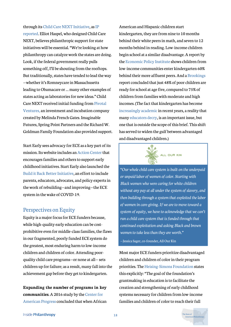[through its C](https://www.insidephilanthropy.com/home/2021/8/27/as-the-child-care-sector-struggles-new-funding-flows-for-state-level-advocacy)[hild Care NEX](https://earlysuccess.org/resource-centers/childcarenext/overview/)[T Initiative, as IP](https://www.insidephilanthropy.com/home/2021/8/27/as-the-child-care-sector-struggles-new-funding-flows-for-state-level-advocacy) reported. Elliot Haspel, who designed Child Care NEXT, believes philanthropic support for state initiatives will be essential. "We're looking at how philanthropy can catalyze work the states are doing. Look, if the federal government really pulls something off, I'll be shouting from the rooftops. But traditionally, states have tended to lead the way —whether it's Romneycare in Massachusetts leading to Obamacare or … many other examples of states acting as laboratories for new ideas." Child Care NEXT received initial funding from [P](https://www.pivotalventures.org/)ivotal [Ventures, an investment and incubation compan](https://www.pivotalventures.org/)y created by Melinda French Gates. Imaginable Futures, Spring Point Partners and the Richard W. Goldman Family Foundation also provided support.

Start Early sees advocacy for ECE as a key part of its mission. Its website includes an [Action Center](https://www.startearly.org/get-involved/action-center/) that encourages families and others to support early childhood initiatives. Start Early also launched the [Build it Back Better Initiative](https://www.startearly.org/what-we-do/policy-advocacy/build-it-back-better/), an effort to include parents, educators, advocates, and policy experts in the work of rebuilding—and improving—the ECE system in the wake of COVID-19.

#### Perspectives on Equity

Equity is a major focus for ECE funders because, while high-quality early education can be costprohibitive even for middle-class families, the flaws in our fragmented, poorly funded ECE system do the greatest, most enduring harm to low-income children and children of color. Attending poorquality child care programs—or none at all— sets children up for failure; as a result, many fall into the achievement gap before they get to kindergarten.

**Expanding the number of programs in key communities**. A 2016 study by the Center for [American Progress concluded that when Africa](https://www.americanprogress.org/issues/early-childhood/reports/2016/04/05/132750/how-much-can-high-quality-universal-pre-k-reduce-achievement-gaps/)n

American and Hispanic children start kindergarten, they are from nine to 10 months behind their white peers in math, and seven to 12 months behind in reading. Low-income children begin school at a similar disadvantage. A report by the [Economic Policy Institute](https://www.epi.org/publication/books_starting_gate/) shows children from low-income communities enter kindergarten 60% behind their more affluent peers. And a [Brookings](https://www.brookings.edu/wp-content/uploads/2016/06/0319_school_disadvantage_isaacs.pdf) report concluded that just 48% of poor children are ready for school at age five, compared to 75% of children from families with moderate and high incomes. (The fact that kindergarten has become [increasingly academic](https://journals.sagepub.com/doi/full/10.1177/2332858415616358) in recent years, a reality that many [educators decry,](https://www.washingtonpost.com/education/2019/05/08/kindergarten-teacher-why-our-youngest-learners-are-doomed-right-out-gate-road-map-fix-it/) is an important issue, but one that is outside the scope of this brief. This shift has served to widen the gulf between advantaged and disadvantaged children.)



*"Our whole child care system is built on the underpaid or unpaid labor of women of color. Starting with Black women who were caring for white children without any pay at all under the system of slavery, and then building through a system that exploited the labor of women in care-giving. If we are to move toward a system of equity, we have to acknowledge that we can't run a child care system that is funded through that continued exploitation and asking Black and brown women to take less than they are worth."*

—Jessica Sager, co-founder, All Our Kin

Most major ECE funders prioritize disadvantaged children and children of color in their program priorities. The [Heising-Simons Foundation](https://www.hsfoundation.org/programs/education/) states this explicitly: "The goal of the foundation's grantmaking in education is to facilitate the creation and strengthening of early childhood systems necessary for children from low-income families and children of color to reach their full

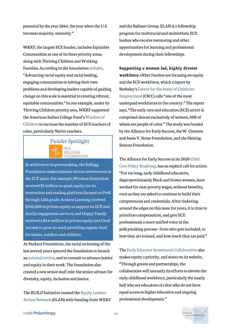potential by the year 2044, the year when the U.S. becomes majority-minority."

WKKF, the largest ECE funder, includes Equitable Communities as one of its three priority areas, along with Thriving Children and Working Families. According to the foundation [website](https://www.wkkf.org/what-we-do/overview#equitable), "Advancing racial equity and racial healing, engaging communities in solving their own problems and developing leaders capable of guiding change on this scale is essential to creating vibrant, equitable communities." In one example, under its Thriving Children priority area, WKKF supported the American Indian College Fund's Wisdom of [Children to increase the number of ECE teachers](https://collegefund.org/programs/indigenous-early-childhood-education/for-the-wisdom-of-the-children-strengthening-the-teacher-of-color-pipeline/) of color, particularly Native teachers.

### Funder Spotlight KELLOGG OUNDATION<sup>®</sup>

In addition to its grantmaking, the Kellogg Foundation makes mission-driven investments in the ECE space. For example,Wireless Generation received \$5 million in quasi-equity for its instruction and reading platform focused on PreK through 12th grade; Acelero Learning received \$500,000 in private equity to support its ECE and family engagement services; and Happy Family received a \$4.6 million in private equity and fixed income to grow its work providing organic food for babies, toddlers and children.

At Packard Foundation, the racial reckoning of the last several years spurred the foundation to launch an [internal review,](https://www.packard.org/insights/perspectives/an-update-on-our-justice-and-equity-journey/) and to commit to advance justice and equity in their work. The foundation also created a new senior staff role: the senior advisor for diversity, equity, inclusion and justice.

[The BUILD Initiative created the Equity Leaders](https://buildinitiative.org/work/elan/) Action Network (ELAN) with funding from WKKF

and the Ballmer Group. ELAN is a fellowship program for multiracial and multiethnic ECE leaders who receive mentoring and other opportunities for learning and professional development during their fellowships.

**Supporting a women-led, highly diverse workforce**. Other funders are focusing on equity and the ECE workforce, which a report by [Berkeley's Center for the Study of Childcare](https://cscce.berkeley.edu/racial-wage-gaps-in-early-education-employment/) Employment (CSCC) calls "one of the most underpaid workforces in the country." The report says, "The early care and education (ECE) sector is comprised almost exclusively of women, 40% of whom are people of color." The study was funded by the Alliance for Early Success, the W. Clement and Jessie V. Stone Foundation, and the Heising-Simons Foundation.

The Alliance for Early Success in its 2020 Child [Care Policy Roadmap, has an explicit call for act](https://earlysuccess.org/ChildCareRoadmap)ion: "For too long, early childhood educators, disproportionately Black and brown women, have worked for near poverty wages, without benefits, even as they are asked to continue to build their competencies and credentials. After tinkering around the edges on this issue for years, it is time to prioritize compensation, and give ECE professionals a more unified voice in the policymaking process—from who gets included, to how they are trained, and how much they are paid."

The [Early Educator Investment Collaborative](https://earlyedcollaborative.org/our-vision/equalitystatement/) also makes equity a priority, and states on its website, "Through grants and partnerships, the collaborative will intensify its efforts to elevate the early childhood workforce, particularly the nearly half who are educators of color who do not have equal access to higher education and ongoing professional development."

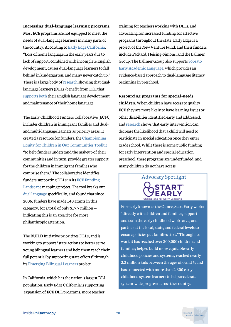#### **Increasing dual-language learning programs**.

Most ECE programs are not equipped to meet the needs of dual-language learners in many parts of the country. According to [Early Edge California,](https://earlyedgecalifornia.org/ece-priorities/dual-language-learners/) "Loss of home language in the early years due to lack of support, combined with incomplete English development, causes dual-language learners to fall behind in kindergarten, and many never catch up." There is a large body of [research](https://www.sciencedirect.com/science/article/abs/pii/S0885200615000113) showing that duallanguage learners (DLLs) benefit from ECE that [supports both](https://www.nationalacademies.org/our-work/fostering-school-success-for-english-learners-toward-new-directions-in-policy-practice-and-research) their English language development and maintenance of their home language.

The Early Childhood Funders Collaborative (ECFC) includes children in immigrant families and dualand multi-language learners as priority areas. It created a resource for funders, the Championing [Equity for Children in Our Communities Toolkit](https://ecfunders.org/investing-in-immigrant-children/) "to help funders understand the makeup of their communities and in turn, provide greater support for the children in immigrant families who comprise them." The collaborative identifies [funders supporting DLLs in its ECE Funding](https://ecfunders.org/funding-landscape/) Landscape mapping project. The tool breaks out [dual language](https://maps.foundationcenter.org/#/map/?subjects=all&popgroups=all&years=all&location=6252001&excludeLocation=0&geoScale=ADM1&layer=recip&boundingBox=-157.58789062499997,18.895892559415024,-43.06640625,58.21702494960191&gmOrgs=all&recipOrgs=all&tags=all&keywords=dual%20language&pathwaysOrg=&pathwaysType=&acct=earlychildren&typesOfSupport=all&transactionTypes=all&amtRanges=all&minGrantAmt=0&maxGrantAmt=0&gmTypes=all&minAssetsAmt=0&maxAssetsAmt=0&minGivingAmt=0&maxGivingAmt=0&andOr=0&includeGov=1&custom=all&customArea=all&indicator=&dataSource=oecd&chartType=facets&multiSubject=1&listType=grant&windRoseAnd=undefined&zoom=4) specifically, and found that since 2006, funders have made 140 grants in this category, for a total of only \$17.7 million indicating this is an area ripe for more philanthropic attention.

The BUILD Initiative prioritizes DLLs, and is working to support "state actions to better serve young bilingual learners and help them reach their full potential by supporting state efforts" through its [Emerging Bilingual Learners](https://buildinitiative.org/work/bilingual-learners/) project.

In California, which has the nation's largest DLL population, Early Edge California is supporting expansion of ECE DLL programs, more teacher

training for teachers working with DLLs, and advocating for increased funding for effective programs throughout the state. Early Edge is a project of the New Venture Fund, and their funders include Packard, Heising-Simons, and the Ballmer [Group. The Ballmer Group also supports Sobrato](https://seal.org/) Early Academic Language, which provides an evidence-based approach to dual-language literacy beginning in preschool.

**Resourcing programs for special-needs children.** When children have access to quality ECE they are more likely to have learning issues or other disabilities identified early and addressed, and [research](https://caldercenter.org/sites/default/files/WP%20121.pdf) shows that early intervention can decrease the likelihood that a child will need to participate in special education once they enter grade school. While there is some public funding for early intervention and special education preschool, these programs are underfunded, and many children do not have access.

Advocacy Spotlight

Formerly known as the Ounce, Start Early works "directly with children and families, support and train the early childhood workforce, and partner at the local, state, and federal levels to ensure policies put families first." Through its work it has reached over 200,000 children and families; helped build more equitable early childhood policies and systems, reached nearly 2.3 million kids between the ages of 0 and 5; and has connected with more than 2,300 early childhood system learners to help accelerate system-wide progress across the country.

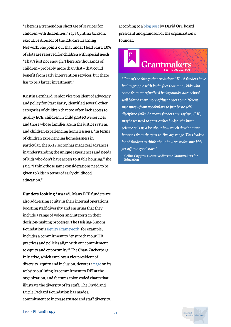"There is a tremendous shortage of services for children with disabilities," says Cynthia Jackson, executive director of the Educare Learning Network. She points out that under Head Start, 10% of slots are reserved for children with special needs. "That's just not enough. There are thousands of children—probably more than that—that could benefit from early intervention services, but there has to be a larger investment."

Kristin Bernhard, senior vice president of advocacy and policy for Start Early, identified several other categories of children that too often lack access to quality ECE: children in child protective services and those whose families are in the justice system, and children experiencing homelessness. "In terms of children experiencing homelessness in particular, the K-12 sector has made real advances in understanding the unique experiences and needs of kids who don't have access to stable housing," she said. "I think those same considerations need to be given to kids in terms of early childhood education."

**Funders looking inward.** Many ECE funders are also addressing equity in their internal operations: boosting staff diversity and ensuring that they include a range of voices and interests in their decision-making processes. The Heising-Simons Foundation's [Equity Framework,](https://www.hsfoundation.org/about/equity-framework/) for example, includes a commitment to "ensure that our HR practices and policies align with our commitment to equity and opportunity." The Chan-Zuckerberg Initiative, which employs a vice president of diversity, equity and inclusion, devotes a [page](https://chanzuckerberg.com/dei/#dei-at-czi) on its website outlining its commitment to DEI at the organization, and features color-coded charts that illustrate the diversity of its staff. The David and Lucile Packard Foundation has made a commitment to increase trustee and staff diversity,

according to a [blog post](https://www.packard.org/insights/news/change-starts-within/) by David Orr, board president and grandson of the organization's founder.

# **Grantma**

*"One of the things that traditional K-12 funders have had to grapple with is the fact that many kids who come from marginalized backgrounds start school well behind their more affluent peers on different measures—from vocabulary to just basic selfdiscipline skills. So many funders are saying, 'OK, maybe we need to start earlier.' Also, the brain science tells us a lot about how much development happens from the zero-to-five age range. This leads a lot of funders to think about how we make sure kids get off to a good start."*

-Celine Coggins, executive director Grantmakers for Education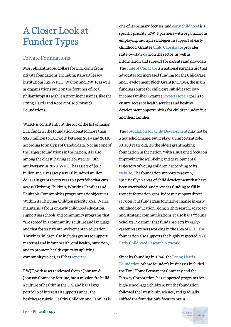### ACloser Look at Funder Types

### Private Foundations

Most philanthropic dollars for ECE come from private foundations, including stalwart legacy institutions like WKKF, Walton and RWJF, as well as organizations built on the fortunes of local philanthropists with less prominent names, like the Irving Harris and Robert M. McCormick Foundations.

WKKF is consistently at the top of the list of major ECE funders; the foundation donated more than \$323 million to ECE work between 2014 and 2018, according to analysis of Candid data. Not just one of the largest foundations in the nation, it is also among the oldest, having celebrated its 90th anniversary in 2020. WKKF has assets of \$8.2 billion and gives away several hundred million dollars in grants every year to a portfolio that cuts across Thriving Children, Working Families and Equitable Communities programmatic objectives. Within its Thriving Children priority area, WKKF maintains a focus on early childhood education, supporting schools and community programs that "are rooted in a community's culture and language" and that foster parent involvement in education. Thriving Children also includes grants to support maternal and infant health, oral health, nutrition, and to promote health equity by uplifting community voices, as IP has [reported.](https://www.insidephilanthropy.com/home/2021/9/21/funder-spotlight-now-over-90-years-old-the-wk-kellogg-foundation-focuses-on-children-first)

RWJF, with assets endowed from a Johnson & Johnson Company fortune, has a mission "to build a culture of health" in the U.S. and has a large portfolio of interests it supports under the healthcare rubric. Healthy Children and Families is

one of its primary focuses, and [early childhood](https://www.rwjf.org/en/our-focus-areas/topics/early-childhood.html) is a specific priority. RWJF partners with organizations employing multiple strategies in support of early childhood. Grantee [Child Care Aware p](https://www.childcareaware.org/our-issues/research/ccdc/)rovides state-by-state data on the sector, as well as information and support for parents and providers. The [State of Childcare](https://stateofchildcare.org/index.html) is a national partnership that advocates for increased funding for the Child Care and Development Block Grant (CCDBG), the main funding source for child care subsidies for lowincome families. Grantee [Project Hope's g](https://www.movinghealthcareupstream.org/nemours-project-hope/)oal is to ensure access to health services and healthy development opportunities for children under five and their families.

The [Foundation for Child Development](https://www.insidephilanthropy.com/grants-f/foundation-for-child-development) may not be a household name, but it plays an important role. At 100 years old, it's the oldest grantmaking foundation in the nation "with a sustained focus on improving the well-being and developmental trajectory of young children," according to its [website.](https://www.fcd-us.org/about-us/history/) The foundation supports research, specifically in areas of child development that have been overlooked, and provides funding to fill in those information gaps. It doesn't support direct services, but funds transformative change in early childhood education, along with research, advocacy and strategic communications. It also has a "Young Scholars Program" that funds projects by earlycareer researchers working in the area of ECE. The [foundation also supports the highly respected NYC](https://earlychildhoodresearchny.org/) Early Childhood Research Network.

Since its founding in 1946, the Irving Harris [Foundation, whose founder's businesses incl](https://www.insidephilanthropy.com/h-grants/irving-harris-foundation)uded the Toni Home Permanent Company and the Pittway Corporation, has supported programs for high-school-aged children. But the foundation followed the latest brain science, and gradually shifted the foundation's focus to brain

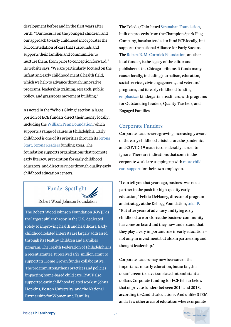development before and in the first years after birth. "Our focus is on the youngest children, and our approach to early childhood incorporates the full constellation of care that surrounds and supports their families and communities to nurture them, from prior to conception forward," its website says. "We are particularly focused on the infant and early childhood mental health field, which we help to advance through innovative programs, leadership training, research, public policy, and grassroots movement building."

As noted in the "Who's Giving" section, a large portion of ECE funders direct their money locally, including the [William Penn Foundation,](https://www.insidephilanthropy.com/fundraising-in-philadelphia/william-penn-foundation-philadelphia-grants.html) which supports a range of causes in Philadelphia. Early [childhood is one of its priorities through its Strong](https://williampennfoundation.org/what-we-fund/strong-start-strong-readers) Start, Strong Readers funding areas. The foundation supports organizations that promote early literacy, preparation for early childhood educators, and direct services through quality early childhood education centers.

### Funder Spotlight

Robert Wood Johnson Foundation

The Robert Wood Johnson Foundation (RWJF) is the largest philanthropy in the U.S. dedicated solely to improving health and healthcare. Early childhood related interests are largely addressed through its Healthy Children and Families program. The Health Federation of Philadelphia is a recent grantee. It received a \$3 million grant to support its Home Grown funder collaborative. The program strengthens practices and policies impacting home-based child care. RWJF also supported early childhood related work at Johns Hopkins, Boston University, and the National Partnership for Women and Families.

The Toledo, Ohio-based [Stranahan Foundation](https://www.insidephilanthropy.com/grants-for-k-12-education/stranahan-foundation-grants-for-k-12-education.html), built on proceeds from the Champion Spark Plug Company, has also tended to fund ECE locally, but supports the national Alliance for Early Success. The [Robert R. McCormick Foundation,](https://donate.mccormickfoundation.org/home) another local funder, is the legacy of the editor and publisher of the Chicago Tribune. It funds many causes locally, including journalism, education, social services, civic engagement, and veterans' programs, and its [early childhood funding](https://donate.mccormickfoundation.org/education/focus-areas#teachers) [emphasizes](https://donate.mccormickfoundation.org/education/focus-areas#teachers) kindergarten readiness, with programs for Outstanding Leaders, Quality Teachers, and Engaged Families.

### Corporate Funders

Corporate leaders were growing increasingly aware of the early childhood crisis before the pandemic, and COVID-19 made it considerably harder to ignore. There are indications that some in the [corporate world are stepping up with more child](https://www.npr.org/2022/01/04/1064124004/child-care-is-getting-more-support-from-some-private-companies) care support for their own employees.

"I can tell you that years ago, business was not a partner in the push for high-quality early education," Felicia DeHaney, director of program and strategy at the Kellogg Foundation, [told IP](https://www.insidephilanthropy.com/home/2021/5/11/funders-fighting-child-poverty-see-bidens-plans-as-a-victory-and-potential-game-changer). "But after years of advocacy and tying early childhood to workforce, the business community has come on board and they now understand that they play a very important role in early education not only in investment, but also in partnership and thought leadership."

Corporate leaders may now be aware of the importance of early education, but so far, this doesn't seem to have translated into substantial dollars. Corporate funding for ECE fell far below that of private funders between 2014 and 2018, according to Candid calculations. And unlike STEM and a few other areas of education where corporate

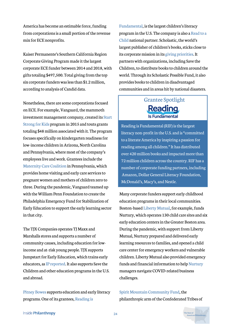America has become an estimable force, funding from corporations is a small portion of the revenue mix for ECE nonprofits.

Kaiser Permanente's Southern California Region Corporate Giving Program made it the largest corporate ECE funder between 2014 and 2018, with gifts totaling \$497,500. Total giving from the top six corporate funders was less than \$1.2 million, according to analysis of Candid data.

Nonetheless, there are some corporations focused on ECE. For example, Vanguard, the mammoth [investment management company, created its Start](https://about.vanguard.com/community-stewardship/starting-kids-off-right/) Strong for Kids program in 2015 and touts grants totaling \$48 million associated with it. The program focuses specifically on kindergarten readiness for low-income children in Arizona, North Carolina and Pennsylvania, where most of the company's employees live and work. Grantees include the [Maternity Care Coalition](https://maternitycarecoalition.org/) in Pennsylvania, which provides home visiting and early care services to pregnant women and mothers of children zero to three. During the pandemic, Vanguard teamed up with the William Penn Foundation to create the Philadelphia Emergency Fund for Stabilization of Early Education to support the early learning sector in that city.

The TJX Companies operates TJ Maxx and Marshalls stores and supports a number of community causes, including education for lowincome and at-risk young people. TJX supports Jumpstart for Early Education, which trains early educators, as [IP reported](https://www.insidephilanthropy.com/home/2021/9/1/funders-seek-to-jumpstart-early-ed-with-a-focus-on-educators). It also supports Save the Children and other education programs in the U.S. and abroad.

[Pitney Bowes](https://www.insidephilanthropy.com/p-grants/pitney-bowes) supports education and early literacy programs. One of its grantees, [Reading is](https://www.rif.org/)

[Fundamental,](https://www.rif.org/) is the largest children's literacy [program in the U.S. The company is also a Read to a](https://readtoachild.org/) Child national partner. Scholastic, the world's largest publisher of children's books, sticks close to its corporate mission in its [giving priorities](https://www.scholastic.com/aboutscholastic/corporate-social-responsibility/). It partners with organizations, including Save the Children, to distribute books to children around the world. Through its Scholastic Possible Fund, it also provides books to children in disadvantaged communities and in areas hit by national disasters.

### Grantee Spotlight Reading

Reading is Fundamental (RIF) is the largest literacy non-profit in the U.S. and is "committed to a literate America by inspiring a passion for reading among all children." It has distributed over 420 million books and impacted more than 72 million children across the country. RIF has a number of corporate funding partners, including Amazon, Dollar General Literacy Foundation, McDonald's, Macy's, and Nestle.

Many corporate funders support early childhood education programs in their local communities. Boston-based [Liberty Mutual](https://www.libertymutualgroup.com/about-lm/giving-back/focus-giving/education), for example, funds Nurtury, which operates 130 child care sites and six early education centers in the Greater Boston area. During the pandemic, with support from Liberty Mutual, Nurtury prepared and delivered early learning resources to families, and opened a child care center for emergency workers and vulnerable children. Liberty Mutual also provided emergency funds and financial information to help [Nurtury](https://www.nurturyboston.org/) managers navigate COVID-related business challenges.

### [Spirit Mountain Community Fund](https://www.thecommunityfund.com/), the philanthropic arm of the Confederated Tribes of

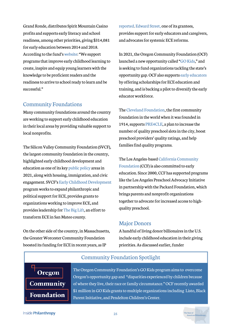Grand Ronde, distributes Spirit Mountain Casino profits and supports early literacy and school readiness, among other priorities, giving \$314,081 for early education between 2014 and 2018. According to the fund's [website](https://www.thecommunityfund.com/grants-programs/priority-funding/): "We support programs that improve early childhood learning to create, inspire and equip young learners with the knowledge to be proficient readers and the readiness to arrive to school ready to learn and be successful."

#### Community Foundations

Many community foundations around the country are working to support early childhood education in their local areas by providing valuable support to local nonprofits.

The Silicon Valley Community Foundation (SVCF), the largest community foundation in the country, highlighted early childhood development and education as one of its key [public policy](https://www.siliconvalleycf.org/public-policy) areas in 2021, along with housing, immigration, and civic engagement. SVCF's [Early Childhood Development](https://www.siliconvalleycf.org/early-childhood-development) program works to expand philanthropic and political support for ECE, provides grants to organizations working to improve ECE, and provides leadership for [The Big Lift](https://www.thebiglift.org/), an effort to transform ECE in San Mateo county.

On the other side of the country, in Massachusetts, the Greater Worcester Community Foundation boosted its funding for ECE in recent years, as IP

[reported.](https://www.insidephilanthropy.com/home/2019/5/25/in-worcester-massachusetts-a-funder-is-giving-attention-to-early-education) [Edward Street,](https://www.edwardstreet.org/) one of its grantees, provides support for early educators and caregivers, and advocates for systemic ECE reforms.

In 2021, the Oregon Community Foundation (OCF) launched a new opportunity called "[GO Kids,](https://oregoncf.org/grants-and-scholarships/grants/go-kids/)" and is seeking to fund organizations tackling the state's opportunity gap. OCF also supports [early educators](https://oregoncf.org/community-impact/impact-areas/education/early-childhood-workforce-training/) by offering scholarships for ECE education and training, and is backing a pilot to diversify the early educator workforce.

The [Cleveland Foundation,](https://www.clevelandfoundation.org/grants/impact-areas/education/) the first community foundation in the world when it was founded in 1914, supports [PRE4CLE](https://pre4cle.org/), a plan to increase the number of quality preschool slots in the city, boost preschool providers' quality ratings, and help families find quality programs.

[The Los Angeles-based California Community](https://www.calfund.org/) Foundation (CCF) is also committed to early education. Since 2000, CCF has supported programs like the Los Angeles Preschool Advocacy Initiative in partnership with the Packard Foundation, which brings parents and nonprofit organizations together to advocate for increased access to highquality preschool.

#### **Major Donors**

A handful of living donor billionaires in the U.S. include early childhood education in their giving priorities. As discussed earlier, funder

### Community Foundation Spotlight



The Oregon Community Foundation's GO Kids program aims to overcome Oregon's opportunity gap and "disparities experienced by children because of where they live, their race or family circumstance." OCF recently awarded \$1 million in GO Kids grants to multiple organizations including Listo, Black Parent Initiative, and Pendelton Children's Center.

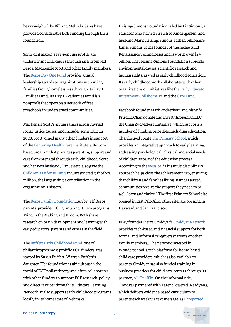heavyweights like Bill and Melinda Gates have provided considerable ECE funding through their foundation.

Some of Amazon's eye-popping profits are underwriting ECE causes through gifts from Jeff Bezos, MacKenzie Scott and other family members. The [Bezos Day One Fund](https://www.bezosdayonefund.org/) provides annual leadership awards to organizations supporting families facing homelessness through its Day 1 Families Fund. Its Day 1 Academies Fund is a nonprofit that operates a network of free preschools in underserved communities.

MacKenzie Scott's giving ranges across myriad social justice causes, and includes some ECE. In 2020, Scott joined many other funders in support of the [Centering Health Care Institute,](https://www.centeringhealthcare.org/) a Bostonbased program that provides parenting support and care from prenatal through early childhood. Scott and her new husband, Dan Jewett, also gave the [Children's Defense Fund](https://www.childrensdefense.org/2021/childrens-defense-fund-receives-20-million-from-mackenzie-scott-and-dan-jewett/) an unrestricted gift of \$20 million, the largest single contribution in the organization's history.

The [Bezos Family Foundation](https://www.insidephilanthropy.com/grants-b/bezos-family-foundation), run by Jeff Bezos' parents, provides ECE grants and its two programs, Mind in the Making and Vroom. Both share research on brain development and learning with early educators, parents and others in the field.

The [Buffett Early Childhood Fund](https://www.insidephilanthropy.com/fundraising-early-childhood/buffett-early-childhood-fund-grants-for-early-childhood-educ.html), one of philanthropy's most prolific ECE funders, was started by Susan Buffett, Warren Buffett's daughter. Her foundation is ubiquitous in the world of ECE philanthropy and often collaborates with other funders to support ECE research, policy and direct services through its Educare Learning Network. It also supports early childhood programs locally in its home state of Nebraska.

Heising-Simons Foundation is led by Liz Simons, an educator who started Stretch to Kindergarten, and husband Mark Heising. Simons' father, billionaire James Simons, is the founder of the hedge fund Renaissance Technologies and is worth over \$24 billion. The Heising-Simons Foundation supports environmental causes, scientific research and human rights, as well as early childhood education. Its early childhood work collaborates with other [organizations on initiatives like the Early Educator](https://www.insidephilanthropy.com/home/2021/6/23/why-are-these-funders-teaming-up-to-support-early-educators) Investment Collaborative and the [Care Fund.](https://www.insidephilanthropy.com/home/2021/5/12/with-a-50-million-launch-a-pooled-fund-looks-to-build-caregiving-infrastructure)

Facebook founder Mark Zuckerberg and his wife Priscilla Chan donate and invest through an LLC, the Chan Zuckerberg Initiative, which supports a number of funding priorities, including education. Chan helped create [The Primary School](https://www.theprimaryschool.org/), which provides an integrative approach to early learning, addressing psychological, physical and social needs of children as part of the education process. According to the [website,](https://www.theprimaryschool.org/about-us/#about-us-banner) "This multidisciplinary approach helps close the achievement gap, ensuring that children and families living in underserved communities receive the support they need to be well, learn and thrive." The first Primary School site opened in East Palo Alto; other sites are opening in Hayward and San Francisco.

EBay founder Pierre Omidyar's [Omidyar Network](https://omidyar.com/) provides tech-based and financial support for both formal and informal caregivers (parents or other family members). The network invested in Wonderschool, a tech platform for home-based child care providers, which is also available to parents. Omidyar has also funded training in business practices for child care centers through its partner, [All Our Kin.](https://allourkin.org/) On the informal side, Omidyar partnered with ParentPowered (Ready4K), which delivers evidence-based curriculum to parents each week via text message, as IP [reported](https://www.insidephilanthropy.com/home/2019/5/16/growing-its-education-work-a-silicon-valley-funder-looks-to-boost-both-early-learners-and-parents).

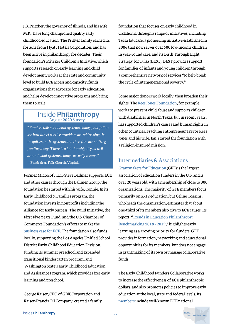J.B. Pritzker, the governor of Illinois, and his wife M.K., have long championed quality early childhood education. The Pritker family earned its fortune from Hyatt Hotels Corporation, and has been active in philanthropy for decades. Their foundation's Pritzker Children's Initiative, which supports research on early learning and child development, works at the state and community level to build ECE access and capacity, funds organizations that advocate for early education, and helps develop innovative programs and bring them to scale.

# Inside Philanthropy

*"Funders talk a lot about systems change, but fail to see how direct service providers are addressing the inequities in the systems and therefore are shifting funding away. There is a lot of ambiguity as well around what systems change actually means."* —Fundraiser, Falls Church,Virginia

Former Microsoft CEO Steve Ballmer supports ECE and other causes through the Ballmer Group, the foundation he started with his wife, Connie. In its Early Childhood & Families program, the foundation invests in nonprofits including the Alliance for Early Success, The Build Initiative, the First Five Years Fund, and the U.S. Chamber of Commerce Foundation's efforts to make the [business case for ECE.](https://www.uschamberfoundation.org/topics/early-childhood-education) The foundation also funds locally, supporting the Los Angeles Unified School District Early Childhood Education Division, funding its summer preschool and expanded transitional kindergarten program, and Washington State's Early Childhood Education and Assistance Program, which provides free early learning and preschool.

George Kaiser, CEO of GBK Corporation and Kaiser-Francis Oil Company, created a family foundation that focuses on early childhood in Oklahoma through a range of initiatives, including Tulsa Educare, a pioneering initiative established in 2006 that now serves over 500 low-income children in year-round care, and its Birth Through Eight Strategy for Tulsa (BEST). BEST provides support for families of infants and young children through a comprehensive network of services "to help break the cycle of intergenerational poverty."

Some major donors work locally, then broaden their sights. The [Rees Jones Foundation](https://www.insidephilanthropy.com/donors/trevor-and-jan-rees-jones), for example, works to prevent child abuse and supports children with disabilities in North Texas, but in recent years, has supported children's causes and human rights in other countries. Fracking entrepreneur Trevor Rees Jones and his wife, Jan, started the foundation with a religion-inspired mission.

### Intermediaries&Associations

[Grantmakers for Education](http://edfunders.org/) (GFE) is the largest association of education funders in the U.S. and is over 20 years old, with a membership of close to 300 organizations. The majority of GFE members focus primarily on K-12 education, but Celine Coggins, who heads the organization, estimates that about one-third of its members also give to ECE causes. Its report, "Trends in Education Philanthropy: [Benchmarking 2018 - 2019," highlights earl](https://edfunders.org/sites/default/files/GFE_Benchmarking_2018-19.pdf)y learning as a growing priority for funders. GFE provides information, networking and educational opportunities for its members, but does not engage in grantmaking of its own or manage collaborative funds.

The Early Childhood Funders Collaborative works to increase the effectiveness of ECE philanthropic dollars, and also promotes policies to improve early education at the local, state and federal levels. Its [members](https://ecfunders.org/our-members/) include well-known ECE national

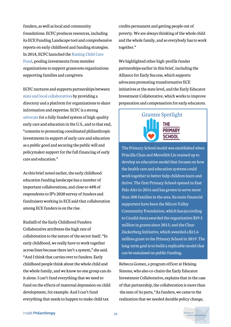funders, as well as local and community foundations. ECFC produces resources, including its ECE Funding Landscape tool and comprehensive reports on early childhood and funding strategies. [In 2018, ECFC launched the Raising Child Care](https://ecfunders.org/rccf/) Fund, pooling investments from member organizations to support grassroots organizations supporting families and caregivers.

ECFC nurtures and supports partnerships between [state and local collaboratives](https://ecfunders.org/collaboratives/) by providing a directory and a platform for organizations to share information and expertise. ECFC is a strong [advocate](https://ecfunders.org/ecfc-statement-on-full-financing-for-early-care-and-education-programs/) for a fully funded system of high-quality early care and education in the U.S., and to that end, "commits to promoting coordinated philanthropic investments in support of early care and education as a public good and securing the public will and policymaker support for the full financing of early care and education."

As this brief noted earlier, the early childhood education funding landscape has a number of important collaborations, and close to 48% of respondents to IP's 2020 survey of funders and fundraisers working in ECE said that collaboration among ECE funders is on the rise.

Rudisill of the Early Childhood Funders Collaborative attributes the high rate of collaboration to the nature of the sector itself. "In early childhood, we really have to work together across lines because there isn't a system," she said. "And I think that carries over to funders. Early childhood people think about the whole child and the whole family, and we know no one group can do it alone. I can't fund everything that we need to fund on the effects of maternal depression on child development, for example. And I can't fund everything that needs to happen to make child tax

credits permanent and getting people out of poverty. We are always thinking of the whole child and the whole family, and so everybody has to work together."

We highlighted other high-profile funder partnerships earlier in this brief, including the Alliance for Early Success, which supports advocates promoting transformative ECE initiatives at the state level, and the Early Educator Investment Collaborative, which works to improve preparation and compensation for early educators.

### Grantee Spotlight **THE PRIMARY**

**SCHOOL** 

The Primary School model was established when Priscilla Chan and Meredith Liu teamed up to develop an education model that focuses on how the health care and education systems could work together to better help children learn and thrive. The first Primary School opened in East Palo Alto in 2016 and has grown to serve more than 300 families in the area. Its main financial supporters have been the Silicon Valley Community Foundation, which has (according to Candid data) awarded the organization \$39.5 million in grants since 2015; and the Chan-Zuckerberg Initiative, which awarded a \$15.6 million grant to the Primary School in 2019. The long-term goal is to build a replicable model that can be sustained on public funding.

Rebecca Gomez, a program officer at Heising-Simons, who also co-chairs the Early Educator Investment Collaborative, explains that in the case of that partnership, the collaboration is more than the sum of its parts, "As funders, we came to the realization that we needed durable policy change,

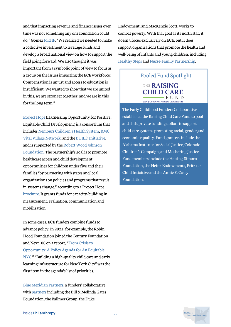and that impacting revenue and finance issues over time was not something any one foundation could do," Gomez [told IP](https://www.insidephilanthropy.com/home/2021/6/23/why-are-these-funders-teaming-up-to-support-early-educators). "We realized we needed to make a collective investment to leverage funds and develop a broad national view on how to support the field going forward. We also thought it was important from a symbolic point of view to focus as a group on the issues impacting the ECE workforce: Compensation is unjust and access to education is insufficient. We wanted to show that we are united in this, we are stronger together, and we are in this for the long term."

[Project Hope](https://www.movinghealthcareupstream.org/nemours-project-hope/) (Harnessing Opportunity for Positive, Equitable Child Development) is a consortium that [includes N](https://www.vitalvillage.org/)[emours Children's Health System](http://www.nemours.org/)[, BMC](https://www.vitalvillage.org/) Vital Village Network, and the [BUILD Initiative](http://www.buildinitiative.org/), and is supported by the Robert Wood Johnson [Foundation. The partnership's goal is to promo](https://www.rwjf.org/)te healthcare access and child development opportunities for children under five and their families "by partnering with states and local organizations on policies and programs that result in systems change," according to a Project Hope [brochure](https://www.movinghealthcareupstream.org/wp-content/uploads/2020/05/Hope-One-Pager-Final.pdf). It grants funds for capacity-building in measurement, evaluation, communication and mobilization.

In some cases, ECE funders combine funds to advance policy. In 2021, for example, the Robin Hood Foundation joined the Century Foundation and Next100 on a report, "From Crisis to Opportunity: A Policy Agenda for An Equitable [NYC." "Building a high-quality child care and ea](https://robinhoodorg-wp-production.s3.amazonaws.com/uploads/2021/07/RobinHood_CrisistoOpportunity-4.pdf)rly learning infrastructure for New York City" was the first item in the agenda's list of priorities.

[Blue Meridian Partners](https://www.bluemeridian.org/), a funders' collaborative with [partners](https://www.bluemeridian.org/our-partners/) including the Bill & Melinda Gates Foundation, the Ballmer Group, the Duke

Endowment, and MacKenzie Scott, works to combat poverty. With that goal as its north star, it doesn't focus exclusively on ECE, but it does support organizations that promote the health and well-being of infants and young children, including [Healthy Steps](https://www.healthysteps.org/) and [Nurse-Family Partnership.](https://www.nursefamilypartnership.org/)

> Pooled Fund Spotlight **THE RAISING CHILD CARE** F U N D Early Childhood Funders Collaborative

The Early Childhood Funders Collaborative established the Raising Child Care Fund to pool and shift private funding dollars to support child care systems promoting racial, gender,and economic equality. Fund grantees include the Alabama Institute for Social Justice, Colorado Children's Campaign, and Mothering Justice. Fund members include the Heising-Simons Foundation, the Heinz Endowments, Pritzker Child Intiaitive and the Annie E. Casey Foundation.

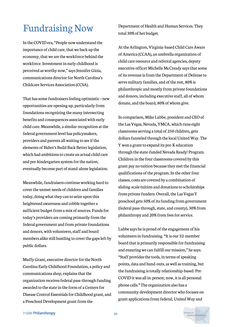# **Fundraising Now**

In the COVID era, "People now understand the importance of child care, that we back up the economy, that we are the workforce behind the workforce. Investment in early childhood is perceived as worthy now," says Jennifer Gioia, communications director for North Carolina's Childcare Services Association (CCSA).

That has some fundraisers feeling optimistic—new opportunities are opening up, particularly from foundations recognizing the many intersecting benefits and consequences associated with early child care. Meanwhile, a similar recognition at the federal government level has policymakers, providers and parents all waiting to see if the elements of Biden's Build Back Better legislation, which had ambitions to create an actual child care and pre-kindergarten system for the nation, eventually become part of stand-alone legislation.

Meanwhile, fundraisers continue working hard to cover the unmet needs of children and families today, doing what they can to seize upon this heightened awareness and cobble together a sufficient budget from a mix of sources. Funds for today's providers are coming primarily from the federal government and from private foundations and donors, with volunteers, staff and board members alike still hustling to cover the gaps left by public dollars.

Muffy Grant, executive director for the North Carolina Early Childhood Foundation, a policy and communications shop, explains that the organization receives federal pass-through funding awarded to the state in the form of a Centers for Disease Control Essentials for Childhood grant, and a Preschool Development grant from the

Department of Health and Human Services. They total 30% of her budget.

At the Arlington, Virginia-based Child Care Aware of America (CCAA), an umbrella organization of child care resource and referral agencies, deputy executive officer Michelle McCready says that some of its revenue is from the Department of Defense to serve military families, and of the rest, 80% is philanthropic and mostly from private foundations and donors, including executive staff, all of whom donate, and the board, 80% of whom give.

In comparison, Mike Lubbe, president and CEO of the Las Vegas, Nevada, YMCA, which runs eight classrooms serving a total of 250 children, gets dollars funneled through the local United Way. The Y won a grant to expand its pre-K education through the state-funded Nevada Ready! Program. Children in the four classrooms covered by this grant pay no tuition because they met the financial qualifications of the program. In the other four classes, costs are covered by a combination of sliding-scale tuition and donations to scholarships from private funders. Overall, the Las Vegas Y preschool gets 50% of its funding from government (federal pass-through, state, and county), 30% from philanthropy and 20% from fees for service.

Lubbe says he is proud of the engagement of his volunteers in fundraising. "It is our 32-member board that is primarily responsible for fundraising and ensuring we can fulfill our mission," he says. "Staff provides the tools, in terms of speaking points, data and hand-outs, as well as training, but the fundraising is totally relationship-based. Pre-COVID it was all in-person; now, it is all personal phone calls." The organization also has a community development director who focuses on grant applications from federal, United Way and

Inside Philanthropy

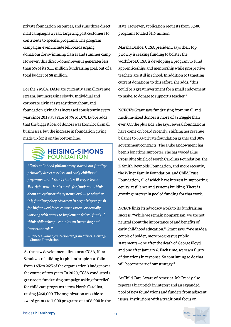private foundation resources, and runs three direct mail campaigns a year, targeting past customers to contribute to specific programs. The program campaigns even include billboards urging donations for swimming classes and summer camp. However, this direct-donor revenue generates less than 5% of its \$1.1 million fundraising goal, out of a total budget of \$8 million.

For the YMCA, DAFs are currently a small revenue stream, but increasing slowly. Individual and corporate giving is steady throughout, and foundation giving has increased consistently every year since 2019 at a rate of 7% to 10%. Lubbe adds that the biggest loss of donors was from local small businesses, but the increase in foundation giving made up for it on the bottom line.

# **HEISING-SIMONS**<br>FOUNDATION

*"Early childhood philanthropy started out funding primarily direct services and early childhood programs, and I think that's still very relevant. But right now, there's a role for funders to think about investing at the systems level — so whether it is funding policy advocacy in organizing to push for higher workforce compensation, or actually working with states to implement federal funds, I think philanthropy can play an increasing and important role."*

— Rebecca Gomez, education program officer, Heising-Simons Foundation

As the new development director at CCSA, Kara Schultz is rebuilding its philanthropic portfolio from 16% to 25% of the organization's budget over the course of two years. In 2020, CCSA conducted a grassroots fundraising campaign asking for relief for child care programs across North Carolina, raising \$260,000. The organization was able to award grants to 1,000 programs out of 6,000 in the

state. However, application requests from 3,500 programs totaled \$1.5 million.

Marsha Basloe, CCSA president, says their top priority is seeking funding to bolster the workforce.CCSA is developing a program to fund apprenticeships and mentorship while prospective teachers are still in school. In addition to targeting current donations to this effort, she adds, "this could be a great investment for a small endowment to make, to donate to support a teacher."

NCECF's Grant says fundraising from small and medium-sized donors is more of a struggle than ever. On the plus side, she says, several foundations have come on board recently, shifting her revenue balance to 63% private foundation grants and 30% government contracts. The Duke Endowment has been a longtime supporter; she has wooed Blue Cross Blue Shield of North Carolina Foundation, the Z. Smith Reynolds Foundation, and more recently, the Winer Family Foundation, and ChildTrust Foundation, all of which have interest in supporting equity, resilience and systems building. There is growing interest in pooled funding for that work.

NCECF links its advocacy work to its fundraising success. "While we remain nonpartisan, we are not neutral about the importance of and benefits of early childhood education," Grant says. "We made a couple of bolder, more progressive public statements—one after the death of George Floyd and one after January 6. Each time, we saw a flurry of donations in response. So continuing to do that will become part of our strategy."

At Child Care Aware of America, McCready also reports a big uptick in interest and an expanded pool of new foundations and funders from adjacent issues. Institutions with a traditional focus on

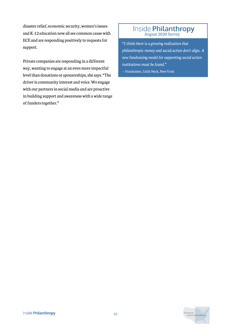disaster relief, economic security, women's issues and K-12 education now all see common cause with ECE and are responding positively to requests for support.

Private companies are responding in a different way, wanting to engage at an even more impactful level than donations or sponsorships, she says. "The driver is community interest and voice. We engage with our partners in social media and are proactive in building support and awareness with a wide range of funders together."

# Inside Philanthropy

*"I think there is a growing realization that philanthropic money and social action don't align. A new fundraising model for supporting social action institutions must be found."* — Fundraiser, Little Neck, New York

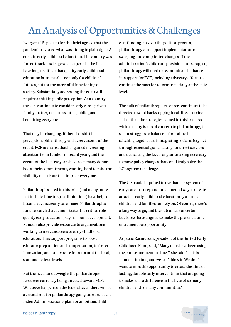# An Analysis of Opportunities & Challenges

Everyone IP spoke to for this brief agreed that the pandemic revealed what was hiding in plain sight: A crisis in early childhood education. The country was forced to acknowledge what experts in the field have long testified: that quality early childhood education is essential — not only for children's futures, but for the successful functioning of society. Substantially addressing the crisis will require a shift in public perception. As a country, the U.S. continues to consider early care a private family matter, not an essential public good benefiting everyone.

That may be changing. If there is a shift in perception, philanthropy will deserve some of the credit. ECE is an area that has gained increasing attention from funders in recent years, and the events of the last few years have seen many donors boost their commitments, working hard to raise the visibility of an issue that impacts everyone.

Philanthropies cited in this brief (and many more not included due to space limitations) have helped lift and advance early care issues. Philanthropies fund research that demonstrates the critical role quality early education plays in brain development. Funders also provide resources to organizations working to increase access to early childhood education. They support programs to boost educator preparation and compensation, to foster innovation, and to advocate for reform at the local, state and federal levels.

But the need far outweighs the philanthropic resources currently being directed toward ECE. Whatever happens on the federal level, there will be a critical role for philanthropy going forward. If the Biden Administration's plan for ambitious child

care funding survives the political process, philanthropy can support implementation of sweeping and complicated changes. If the administration's child care provisions are scrapped, philanthropy will need to recommit and enhance its support for ECE, including advocacy efforts to continue the push for reform, especially at the state level.

The bulk of philanthropic resources continues to be directed toward backstopping local direct services rather than the strategies named in this brief. As with so many issues of concern to philanthropy, the sector struggles to balance efforts aimed at stitching together a disintegrating social safety net through essential grantmaking for direct services and dedicating the levels of grantmaking necessary to move policy changes that could truly solve the ECE systems challenge.

The U.S. could be poised to overhaul its system of early care in a deep and fundamental way: to create an actual early childhood education system that children and families can rely on. Of course, there's a long way to go, and the outcome is uncertain but forces have aligned to make the present a time of tremendous opportunity.

As Jessie Rasmussen, president of the Buffett Early Childhood Fund, said, "Many of us have been using the phrase 'moment in time,'" she said. "This is a moment in time, and we can't blow it. We don't want to miss this opportunity to create the kind of lasting, durable early interventions that are going to make such a difference in the lives of so many children and so many communities."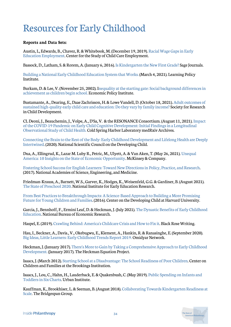# Resourcesfor Early Childhood

#### **Reports and Data Sets:**

[Austin, L, Edwards, B., Chavez, R. & Whitebook, M. \(December 19, 2019\). Racial Wage Gaps in Early](https://cscce.berkeley.edu/racial-wage-gaps-in-early-education-employment/) Education Employment. Center for the Study of Child Care Employment.

Bassock, D., Latham, S. & Rorem, A. (January 6, 2016). [Is Kindergarten the New First Grade?](https://journals.sagepub.com/doi/full/10.1177/2332858415616358) Sage Journals.

[Building a National Early Childhood Education System that Works. \(](https://learningpolicyinstitute.org/product/early-childhood-education-system-2021-brief)March 4, 2021). Learning Policy Institute.

[Burkam, D. & Lee, V. \(November 25, 2002\). Inequality at the starting gate: Social background differences in](https://www.epi.org/publication/books_starting_gate/) achievement as children begin school. Economic Policy Institute.

[Bustamante, A., Dearing, E., Daae Zachrisson, H. & Lowe Vandell, D. \(October 18, 2021\). Adult outcomes of](https://srcd.onlinelibrary.wiley.com/doi/10.1111/cdev.13696) sustained high-quality early child care and education: Do they vary by family income? Society for Research in Child Development.

[CL Deoni, J., Beauchemin, J., Volpe, A., D'Sa, V. & the RESONANCE Consortium. \(August 11, 2021\). Impact](https://www.medrxiv.org/content/10.1101/2021.08.10.21261846v1) of the COVID-19 Pandemic on Early Child Cognitive Development: Initial Findings in a Longitudinal Observational Study of Child Health. Cold Spring Harbor Laboratory medRxiv Archives.

[Connecting the Brain to the Rest of the Body: Early Childhood Development and Lifelong Health are Deeply](https://devhcdc.wpengine.com/resources/connecting-the-brain-to-the-rest-of-the-body-early-childhood-development-and-lifelong-health-are-deeply-intertwined/) Intertwined. (2020). National Scientific Council on the Developing Child.

[Dua, A., Ellingrud, K., Lazar M. Luby R., Petric, M., Ulyett, A. & Van Aken, T. \(May 26, 2021\). Unequal](https://www.mckinsey.com/featured-insights/sustainable-inclusive-growth/unequal-america-ten-insights-on-the-state-of-economic-opportunity) America: 10 Insights on the State of Economic Opportunity. McKinsey & Company.

[Fostering School Success for English Learners: Toward New Directions in Policy, Practice, and Research](https://ecfunders.org/collaborating-towards-kindergarten-readiness-at-scale-a-funder-group-case-study/). (2017). National Academies of Science, Engineering, and Medicine.

Friedman-Krauss, A., Barnett, W.S., Garver, K., Hodges, K., Weisenfeld, G.G. & Gardiner, B. (August 2021). [The State of Preschool 2020.](https://nieer.org/wp-content/uploads/2021/08/YB2020_Executive_Summary_080521.pdf) National Institute for Early Education Research.

From Best Practices to Breakthrough Impacts: A Science-Based Approach to Building a More Promising [Future for Young Children and Families. \(2016\). Center on the Developing Child at Harvard University.](https://developingchild.harvard.edu/resources/from-best-practices-to-breakthrough-impacts/)

[Garcia, J., Bennhoff, F., Ermini Leaf, D. & Heckman, J. \(July 2021\). The Dynastic Benefits of Early Childhood](https://www.nber.org/system/files/working_papers/w29004/w29004.pdf) Education. National Bureau of Economic Research.

Haspel, E. (2019). [Crawling Behind: America's Childcare Crisis and How to Fix it.](https://elliothaspel.com/) Black Rose Writing.

Hau, I., Beckner, A., Davis., V., Okebugwu, E., Klement, A., Hankin, R. & Ranasinghe, E. (September 2020). [Big Ideas, Little Learners: Early Childhood Trends Report 2019.](https://omidyar.com/wp-content/uploads/2020/09/Omidyar-Network_Big-Ideas-Little-Learners-2019.pdf) Omidyar Network.

[Heckman, J. \(January 2017\). There's More to Gain by Taking a Comprehensive Approach to Early Childhood](https://heckmanequation.org/www/assets/2017/01/F_Heckman_CBAOnePager_120516.pdf) Development. (January 2017). The Heckman Equation Project.

Isaacs, J. (March 2012). [Starting School at a Disadvantage: The School Readiness of Poor Children](https://www.brookings.edu/wp-content/uploads/2016/06/0319_school_disadvantage_isaacs.pdf). Center on Children and Families at the Brookings Institution.

[Isaacs, J., Lou, C., Hahn, H., Lauderback, E. & Quakenbush, C. \(May 2019\). Public Spending on Infants and](https://www.urban.org/sites/default/files/publication/100198/public_spending_on_infants_and_toddlers.pdf) Toddlers in Six Charts. Urban Institute.

[Kauffman, K., Brookhiser, L. & Seeman, B. \(August 2018\). Collaborating Towards Kindergarten Readiness at](https://www.bridgespan.org/bridgespan/Images/articles/collaborating-towards-kindergarten-readiness/collaborating-towards-kindergarten-readiness-at-scale.pdf) Scale. The Bridgespan Group.

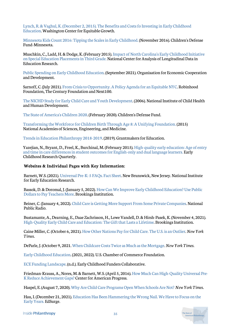[Lynch, R. & Vaghul, K. \(December 2, 2015\). The Benefits and Costs fo Investing in Early Childhood](https://equitablegrowth.org/research-paper/the-benefits-and-costs-of-investing-in-early-childhood-education/?longform=true) Educatio[n.](https://equitablegrowth.org/research-paper/the-benefits-and-costs-of-investing-in-early-childhood-education/?longform=true) Washington Center for Equitable Growth.

[Minnesota Kids Count 2016: Tipping the Scales in Early Childhood.](http://hungerimpactpartners.org/wp-content/uploads/2016/11/Minnesota-Kids-Count-2016-Tipping-the-Scales-in-Early-Childhood-Childrens-Defense-Fund-2016.pdf) (November 2016). Children's Defense Fund-Minnesota.

[Muschkin, C., Ladd, H. & Dodge, K. \(February 2015\). Impact of North Carolina's Early Childhood Initiative](https://caldercenter.org/sites/default/files/WP%20121.pdf) on Special Education Placements in Third Grade. National Center for Analysis of Longitudinal Data in Education Research.

[Public Spending on Early Childhood Education.](https://www.oecd.org/els/soc/PF3_1_Public_spending_on_childcare_and_early_education.pdf) (September 2021). Organisation for Economic Cooperation and Development.

Sarnoff, C. (July 2021). [From Crisis to Opportunity. A Policy Agenda for an Equitable NYC.](https://robinhoodorg-wp-production.s3.amazonaws.com/uploads/2021/07/RobinHood_CrisistoOpportunity-4.pdf) Robinhood Foundation, The Century Foundation and Next100.

[The NICHD Study for Early Child Care and Youth Development](https://www.nichd.nih.gov/sites/default/files/publications/pubs/documents/seccyd_06.pdf). (2006). National Institute of Child Health and Human Development.

[The State of America's Children 2020.](https://www.childrensdefense.org/wp-content/uploads/2020/02/The-State-Of-Americas-Children-2020.pdf) (February 2020). Children's Defense Fund.

[Transforming the Workforce for Children Birth Through Age 8: A Unifying Foundation. \(](https://www.nap.edu/catalog/24984/transforming-the-financing-of-early-care-and-education)2015) National Academies of Sciences, Engineering, and Medicine.

[Trends in Education Philanthropy 2018-2019](https://edfunders.org/sites/default/files/GFE_Benchmarking_2018-19.pdf). (2019). Grantmakers for Education.

[Yazejian, N., Bryant, D., Freel, K., Burchinal, M. \(February 2015\). High-quality early education: Age of entry](https://www.sciencedirect.com/science/article/abs/pii/S0885200615000113) and time in care differences in student outcomes for English-only and dual language learners. Early Childhood Research Quarterly.

#### **Websites & Individual Pages with Key Information:**

Barnett, W.S. (2021). [Universal Pre-K: 5 FAQs. Fact Sheet.](https://nieer.org/policy-issue/universal-pre-k-5-faqs) New Brunswick, New Jersey. National Institute for Early Education Research.

[Bassok, D. & Doromal, J. \(January 5, 2022\). How Can We Improve Early Childhood Education? Use Public](https://www.brookings.edu/blog/brown-center-chalkboard/2022/01/05/how-can-we-improve-early-childhood-education-use-public-dollars-to-pay-teachers-more/) Dollars to Pay Teachers More. Brookings Institution.

Beiner, C. (January 4, 2022). [Child Care is Getting More Support From Some Private Companies.](https://www.npr.org/2022/01/04/1064124004/child-care-is-getting-more-support-from-some-private-companies) National Public Radio.

Bustamante, A., Dearning, E., Daae Zachrisson, H., Lowe Vandell, D. & Hirsh-Pasek, K. (November 4, 2021). [High-Quality Early Child Care and Education: The Gift that Lasts a Lifetime.](https://www.brookings.edu/blog/education-plus-development/2021/11/04/high-quality-early-child-care-and-education-the-gift-that-lasts-a-lifetime/) Brookings Institution.

Caine Miller, C. (October 6, 2021). [How Other Nations Pay for Child Care. The U.S. is an Outlier.](https://www.nytimes.com/2021/10/06/upshot/child-care-biden.html) *New York Times.*

DeParle, J. (October 9, 2021. [When Childcare Costs Twice as Much as the Mortgage.](https://www.nytimes.com/2021/10/09/us/politics/child-care-costs-wages-legislation.html) *New York Times*.

[Early Childhood Education.](https://www.uschamberfoundation.org/topics/early-childhood-education) (2021, 2022). U.S. Chamber of Commerce Foundation.

[ECE Funding Landscape](https://ecfunders.org/funding-landscape/). (n.d.). Early Childhood Funders Collaborative.

[Friedman-Krauss, A., Nores, M. & Barnett, W.S. \(April 5, 2016\). How Much Can High-Quality Universal Pre-](https://www.americanprogress.org/issues/early-childhood/reports/2016/04/05/132750/how-much-can-high-quality-universal-pre-k-reduce-achievement-gaps/)K Reduce Achievement Gaps? Center for American Progress.

Haspel, E. (August 7, 2020). [Why Are Child Care Programs Open When Schools Are Not?](https://www.nytimes.com/2020/08/04/parenting/schools-day-care-children-divide.html) *New York Times.*

[Hau, I. \(December 21, 2021\). Education Has Been Hammering the Wrong Nail. We Have to Focus on the](https://www.edsurge.com/news/2021-12-21-education-has-been-hammering-the-wrong-nail-we-have-to-focus-on-the-early-years) Early Years. EdSurge.

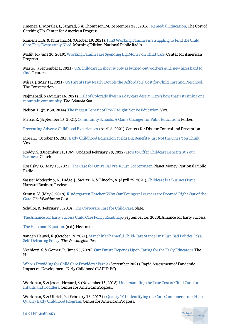Jimenez, L, Morales, J., Sargrad, S. & Thompson, M. (September 285, 2016). [Remedial Education.](https://www.americanprogress.org/issues/education-k-12/reports/2016/09/28/144000/remedial-education/) The Cost of Catching Up. Center for American Progress.

[Kamenetz, A. & Khurana, M. \(October 19, 2021\). 1 in3 Working Families is Struggling to Find the Child](https://www.npr.org/2021/10/19/1047019536/families-are-struggling-to-find-the-child-care-they-desperately-need) Care They Desperately Need. Morning Edition, National Public Radio.

Malik, R. (June 20, 2019). [Working Families are Spending Big Money on Child Care](https://www.americanprogress.org/issues/early-childhood/reports/2019/06/20/471141/working-families-spending-big-money-child-care/). Center for American Progress.

[Marte, J. \(September 1, 2021\). U.S. childcare in short supply as burned-out workers quit, new hires hard to](https://www.reuters.com/world/us/us-childcare-short-supply-burned-out-workers-quit-new-hires-hard-find-2021-09-01/) find. Reuters.

Misra, J. (May 11, 2021). [US Parents Pay Nearly Double the 'Affordable' Cost for Child Care and Preschool.](https://theconversation.com/us-parents-pay-nearly-double-the-affordable-cost-for-child-care-and-preschool-160129) The Conversation.

[Najmabadi, S. \(August 16, 2021\). Half of Colorado lives in a day care desert. Here's how that's straining one](https://coloradosun.com/2021/08/16/routt-colorado-childcare-crisis/) mountain community. *The Colorado Sun*.

Nelson, L. (July 30, 2014). [The Biggest Benefit of Pre-K Might Not Be Education.](https://web.archive.org/web/20210221091252/https:/www.vox.com/2014/7/30/5952739/the-research-on-how-pre-k-could-reduce-crime) Vox.

Pierce, R. (September 15, 2021). [Community Schools: A Game Changer for Pubic Education?](https://www.forbes.com/sites/raymondpierce/2021/09/15/community-schools-a-game-changer-for-public-education/?sh=38ab20263745) Forbes.

[Preventing Adverse Childhood Experiences.](https://www.cdc.gov/violenceprevention/aces/fastfact.html) (April 6, 2021). Centers for Disease Control and Prevention.

Piper,K. (October 16, 201). [Early Childhood Education Yields Big Benefits-Just Not the Ones You Think](https://web.archive.org/web/20211001150420/https:/www.vox.com/future-perfect/2018/10/16/17928164/early-childhood-education-doesnt-teach-kids-fund-it). Vox.

[Roddy, S. \(December 31, 1969; Updated February 28, 2022\). How to Offer Childcare Benefits at Your](https://clutch.co/hr/resources/how-to-offer-childcare-benefits) Business. Clutch.

Rosalsky, G. (May 18, 2021). [The Case for Universal Pre-K Just Got Stronger.](https://www.npr.org/sections/money/2021/05/18/997501946/the-case-for-universal-pre-k-just-got-stronger) Planet Money, National Public Radio.

Sassser Modestino, A., Ladge, J., Swartz, A. & Lincoln, A. (April 29, 2021). [Childcare is a Business Issue](https://hbr.org/2021/04/childcare-is-a-business-issue). Harvard Business Review.

[Strauss, V. \(May 8, 2019\). Kindergarten Teacher: Why Our Youngest Learners are Doomed Right Out of the](https://www.washingtonpost.com/education/2019/05/08/kindergarten-teacher-why-our-youngest-learners-are-doomed-right-out-gate-road-map-fix-it/) Gate. *The Washington Post*.

Schulte, B. (February 8, 2018). [The Corporate Case for Child Care](https://slate.com/human-interest/2018/02/the-corporate-case-for-childcare.html). Slate.

[The Alliance for Early Success Child Care Policy Roadmap.](https://earlysuccess.org/ChildCareRoadmap) (September 16, 2020). Alliance for Early Success.

[The Heckman Equation](https://heckmanequation.org/the-heckman-equation/). (n.d.). Heckman.

[vanden Heuvel, K. \(October 19, 2021\). Manchin's Shameful Child-Care Stance Isn't Just Bad Politics. It's a](https://www.washingtonpost.com/opinions/2021/10/19/manchins-shameful-child-care-stance-isnt-just-bad-politics-its-self-defeating-policy/) Self-Defeating Policy. *The Washington Post*.

Vechiotti, S. & Gomez, R. (June 25, 2020). [Our Future Depends Upon Caring for the Early Educators](https://thehill.com/opinion/education/504618-our-future-depends-upon-caring-for-the-early-educators). The Hil.

[Who is Providing for Child Care Providers? Part 2.](https://www.uorapidresponse.com/) (September 2021). Rapid Assessment of Pandemic Impact on Development-Early Childhood (RAPID-EC).

[Workman, S. & Jessen-Howard, S. \(November 15, 2018\). Understanding the True Cost of Child Care for](https://www.americanprogress.org/issues/early-childhood/reports/2018/11/15/460970/understanding-true-cost-child-care-infants-toddlers/) Infants and Toddlers. Center for American Progress.

[Workman, S. & Ullrich, R. \(February 13, 20174\). Quality 101: Identifying the Core Components of a High-](https://www.americanprogress.org/issues/early-childhood/reports/2017/02/13/414939/quality-101-identifying-the-core-components-of-a-high-quality-early-childhood-program/)Quality Early Childhood Program. Center for American Progress.

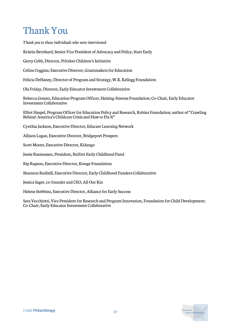# Thank You

*Thank you to these individuals who were interviewed:*

Kristin Bernhard, Senior Vice President of Advocacy and Policy, Start Early

Gerry Cobb, Director, Pritzker Children's Initiative

Celine Coggins, Executive Director, Grantmakers for Education

Felicia DeHaney, Director of Program and Strategy, W.K. Kellogg Foundation

Ola Friday, Director, Early Educator Investment Collaborative

Rebecca Gomez, Education Program Officer, Heising-Simons Foundation; Co-Chair, Early Educator Investment Collaborative

Elliot Haspel, Program Officer for Education Policy and Research, Robins Foundation; author of "Crawling Behind: America's Childcare Crisis and How to Fix It"

Cynthia Jackson, Executive Director, Educare Learning Network

Allison Logan, Executive Director, Bridgeport Prospers

Scott Moore, Executive Director, Kidango

Jessie Rasmussen, President, Buffett Early Childhood Fund

Rip Rapson, Executive Director, Kresge Foundation

Shannon Rudisill, Executive Director, Early Childhood Funders Collaborative

Jessica Sager, co-founder and CEO, All Our Kin

Helene Stebbins, Executive Director, Alliance for Early Success

Sara Vecchiotti, Vice President for Research and Program Innovation, Foundation for Child Development; Co-Chair, Early Educator Investment Collaborative